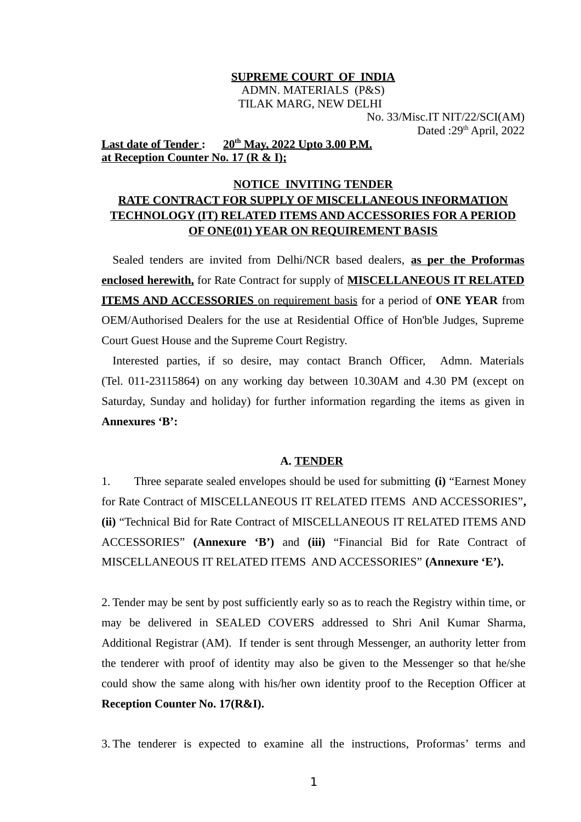#### **SUPREME COURT OF INDIA** ADMN. MATERIALS (P&S)

TILAK MARG, NEW DELHI

 No. 33/Misc.IT NIT/22/SCI(AM) Dated :29<sup>th</sup> April, 2022

#### **Last date of Tender :** 20<sup>th</sup> May, 2022 Upto 3.00 P.M. **at Reception Counter No. 17 (R & I);**

# **NOTICE INVITING TENDER RATE CONTRACT FOR SUPPLY OF MISCELLANEOUS INFORMATION TECHNOLOGY (IT) RELATED ITEMS AND ACCESSORIES FOR A PERIOD OF ONE(01) YEAR ON REQUIREMENT BASIS**

Sealed tenders are invited from Delhi/NCR based dealers, **as per the Proformas enclosed herewith,** for Rate Contract for supply of **MISCELLANEOUS IT RELATED ITEMS AND ACCESSORIES** on requirement basis for a period of **ONE YEAR** from OEM/Authorised Dealers for the use at Residential Office of Hon'ble Judges, Supreme Court Guest House and the Supreme Court Registry.

Interested parties, if so desire, may contact Branch Officer, Admn. Materials (Tel. 011-23115864) on any working day between 10.30AM and 4.30 PM (except on Saturday, Sunday and holiday) for further information regarding the items as given in **Annexures 'B':**

### **A. TENDER**

1. Three separate sealed envelopes should be used for submitting **(i)** "Earnest Money for Rate Contract of MISCELLANEOUS IT RELATED ITEMS AND ACCESSORIES"**, (ii)** "Technical Bid for Rate Contract of MISCELLANEOUS IT RELATED ITEMS AND ACCESSORIES" **(Annexure 'B')** and **(iii)** "Financial Bid for Rate Contract of MISCELLANEOUS IT RELATED ITEMS AND ACCESSORIES" **(Annexure 'E').**

2. Tender may be sent by post sufficiently early so as to reach the Registry within time, or may be delivered in SEALED COVERS addressed to Shri Anil Kumar Sharma, Additional Registrar (AM). If tender is sent through Messenger, an authority letter from the tenderer with proof of identity may also be given to the Messenger so that he/she could show the same along with his/her own identity proof to the Reception Officer at **Reception Counter No. 17(R&I).**

3. The tenderer is expected to examine all the instructions, Proformas' terms and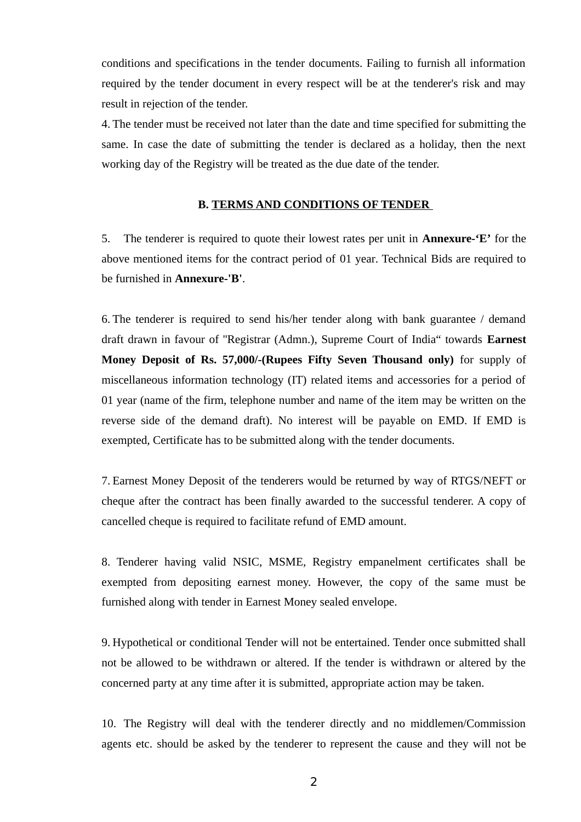conditions and specifications in the tender documents. Failing to furnish all information required by the tender document in every respect will be at the tenderer's risk and may result in rejection of the tender.

4. The tender must be received not later than the date and time specified for submitting the same. In case the date of submitting the tender is declared as a holiday, then the next working day of the Registry will be treated as the due date of the tender.

#### **B. TERMS AND CONDITIONS OF TENDER**

5. The tenderer is required to quote their lowest rates per unit in **Annexure-'E'** for the above mentioned items for the contract period of 01 year. Technical Bids are required to be furnished in **Annexure-'B'**.

6. The tenderer is required to send his/her tender along with bank guarantee / demand draft drawn in favour of ''Registrar (Admn.), Supreme Court of India" towards **Earnest Money Deposit of Rs. 57,000/-(Rupees Fifty Seven Thousand only)** for supply of miscellaneous information technology (IT) related items and accessories for a period of 01 year (name of the firm, telephone number and name of the item may be written on the reverse side of the demand draft). No interest will be payable on EMD. If EMD is exempted, Certificate has to be submitted along with the tender documents.

7. Earnest Money Deposit of the tenderers would be returned by way of RTGS/NEFT or cheque after the contract has been finally awarded to the successful tenderer. A copy of cancelled cheque is required to facilitate refund of EMD amount.

8. Tenderer having valid NSIC, MSME, Registry empanelment certificates shall be exempted from depositing earnest money. However, the copy of the same must be furnished along with tender in Earnest Money sealed envelope.

9. Hypothetical or conditional Tender will not be entertained. Tender once submitted shall not be allowed to be withdrawn or altered. If the tender is withdrawn or altered by the concerned party at any time after it is submitted, appropriate action may be taken.

10. The Registry will deal with the tenderer directly and no middlemen/Commission agents etc. should be asked by the tenderer to represent the cause and they will not be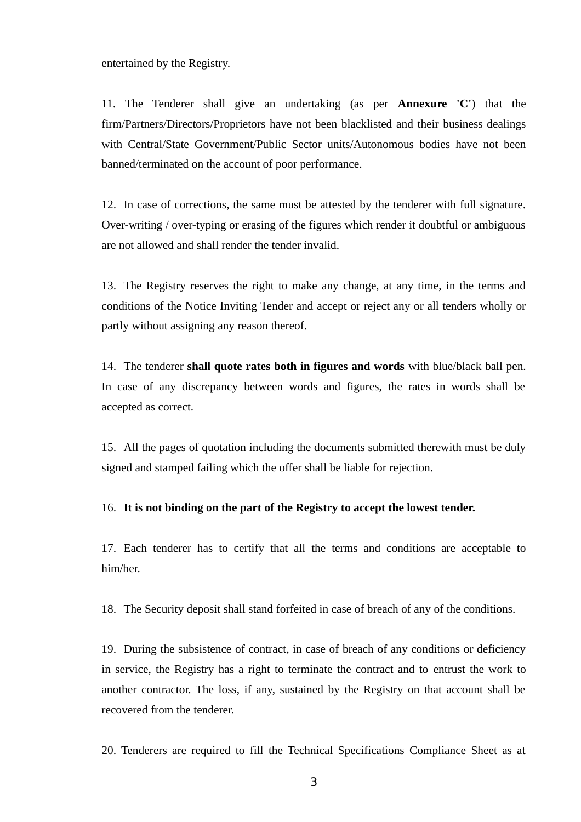entertained by the Registry.

11. The Tenderer shall give an undertaking (as per **Annexure 'C'**) that the firm/Partners/Directors/Proprietors have not been blacklisted and their business dealings with Central/State Government/Public Sector units/Autonomous bodies have not been banned/terminated on the account of poor performance.

12. In case of corrections, the same must be attested by the tenderer with full signature. Over-writing / over-typing or erasing of the figures which render it doubtful or ambiguous are not allowed and shall render the tender invalid.

13. The Registry reserves the right to make any change, at any time, in the terms and conditions of the Notice Inviting Tender and accept or reject any or all tenders wholly or partly without assigning any reason thereof.

14. The tenderer **shall quote rates both in figures and words** with blue/black ball pen. In case of any discrepancy between words and figures, the rates in words shall be accepted as correct.

15. All the pages of quotation including the documents submitted therewith must be duly signed and stamped failing which the offer shall be liable for rejection.

#### 16. **It is not binding on the part of the Registry to accept the lowest tender.**

17. Each tenderer has to certify that all the terms and conditions are acceptable to him/her.

18. The Security deposit shall stand forfeited in case of breach of any of the conditions.

19. During the subsistence of contract, in case of breach of any conditions or deficiency in service, the Registry has a right to terminate the contract and to entrust the work to another contractor. The loss, if any, sustained by the Registry on that account shall be recovered from the tenderer.

20. Tenderers are required to fill the Technical Specifications Compliance Sheet as at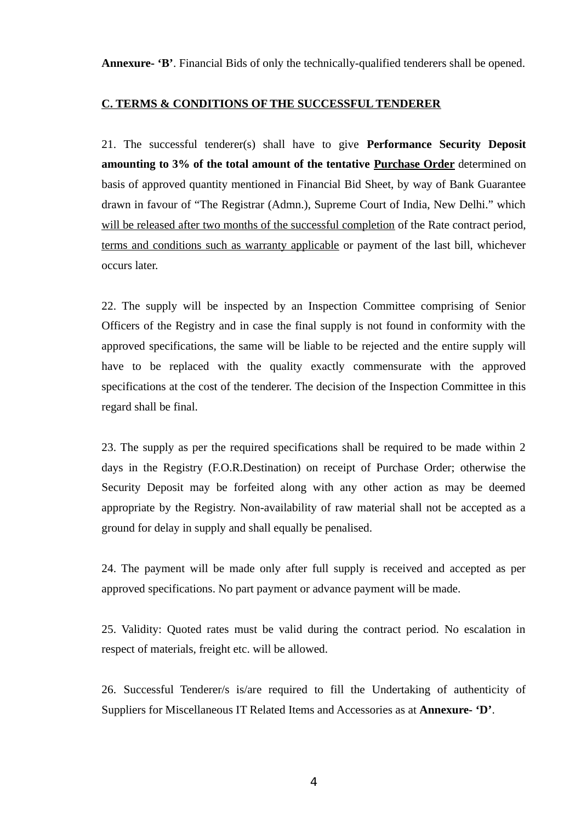**Annexure- 'B'**. Financial Bids of only the technically-qualified tenderers shall be opened.

#### **C. TERMS & CONDITIONS OF THE SUCCESSFUL TENDERER**

21. The successful tenderer(s) shall have to give **Performance Security Deposit amounting to 3% of the total amount of the tentative Purchase Order** determined on basis of approved quantity mentioned in Financial Bid Sheet, by way of Bank Guarantee drawn in favour of "The Registrar (Admn.), Supreme Court of India, New Delhi." which will be released after two months of the successful completion of the Rate contract period, terms and conditions such as warranty applicable or payment of the last bill, whichever occurs later.

22. The supply will be inspected by an Inspection Committee comprising of Senior Officers of the Registry and in case the final supply is not found in conformity with the approved specifications, the same will be liable to be rejected and the entire supply will have to be replaced with the quality exactly commensurate with the approved specifications at the cost of the tenderer. The decision of the Inspection Committee in this regard shall be final.

23. The supply as per the required specifications shall be required to be made within 2 days in the Registry (F.O.R.Destination) on receipt of Purchase Order; otherwise the Security Deposit may be forfeited along with any other action as may be deemed appropriate by the Registry. Non-availability of raw material shall not be accepted as a ground for delay in supply and shall equally be penalised.

24. The payment will be made only after full supply is received and accepted as per approved specifications. No part payment or advance payment will be made.

25. Validity: Quoted rates must be valid during the contract period. No escalation in respect of materials, freight etc. will be allowed.

26. Successful Tenderer/s is/are required to fill the Undertaking of authenticity of Suppliers for Miscellaneous IT Related Items and Accessories as at **Annexure- 'D'**.

4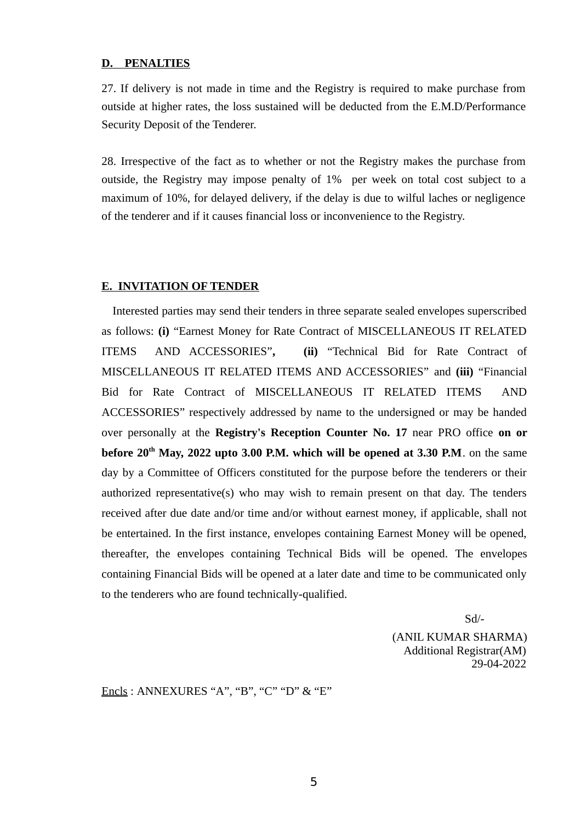#### **D. PENALTIES**

27. If delivery is not made in time and the Registry is required to make purchase from outside at higher rates, the loss sustained will be deducted from the E.M.D/Performance Security Deposit of the Tenderer.

28. Irrespective of the fact as to whether or not the Registry makes the purchase from outside, the Registry may impose penalty of 1% per week on total cost subject to a maximum of 10%, for delayed delivery, if the delay is due to wilful laches or negligence of the tenderer and if it causes financial loss or inconvenience to the Registry.

#### **E. INVITATION OF TENDER**

Interested parties may send their tenders in three separate sealed envelopes superscribed as follows: **(i)** "Earnest Money for Rate Contract of MISCELLANEOUS IT RELATED ITEMS AND ACCESSORIES"**, (ii)** "Technical Bid for Rate Contract of MISCELLANEOUS IT RELATED ITEMS AND ACCESSORIES" and **(iii)** "Financial Bid for Rate Contract of MISCELLANEOUS IT RELATED ITEMS AND ACCESSORIES" respectively addressed by name to the undersigned or may be handed over personally at the **Registry's Reception Counter No. 17** near PRO office **on or before 20th May, 2022 upto 3.00 P.M. which will be opened at 3.30 P.M**. on the same day by a Committee of Officers constituted for the purpose before the tenderers or their authorized representative(s) who may wish to remain present on that day. The tenders received after due date and/or time and/or without earnest money, if applicable, shall not be entertained. In the first instance, envelopes containing Earnest Money will be opened, thereafter, the envelopes containing Technical Bids will be opened. The envelopes containing Financial Bids will be opened at a later date and time to be communicated only to the tenderers who are found technically-qualified.

> Sd/- (ANIL KUMAR SHARMA) Additional Registrar(AM) 29-04-2022

Encls : ANNEXURES "A", "B", "C" "D" & "E"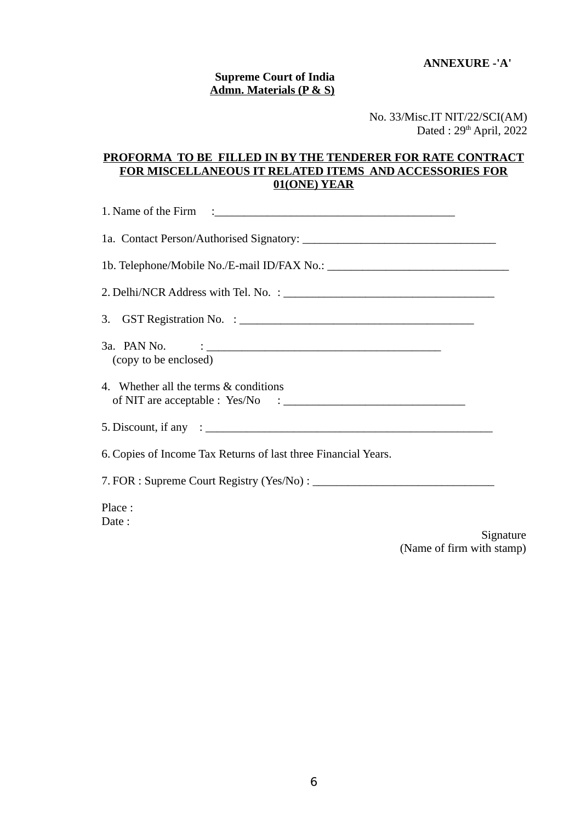# **Supreme Court of India Admn. Materials (P & S)**

# No. 33/Misc.IT NIT/22/SCI(AM) Dated : 29<sup>th</sup> April, 2022

### **PROFORMA TO BE FILLED IN BY THE TENDERER FOR RATE CONTRACT FOR MISCELLANEOUS IT RELATED ITEMS AND ACCESSORIES FOR 01(ONE) YEAR**

| (copy to be enclosed)                                          |           |
|----------------------------------------------------------------|-----------|
| 4. Whether all the terms & conditions                          |           |
|                                                                |           |
| 6. Copies of Income Tax Returns of last three Financial Years. |           |
|                                                                |           |
| Place:<br>Date:                                                | Signature |

(Name of firm with stamp)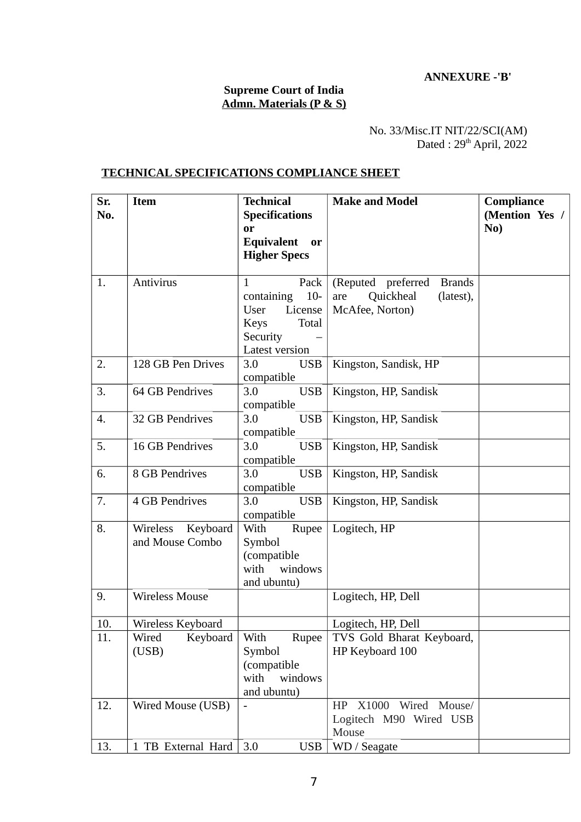**ANNEXURE -'B'** 

### **Supreme Court of India Admn. Materials (P & S)**

#### No. 33/Misc.IT NIT/22/SCI(AM)  $Dated: 29<sup>th</sup> April, 2022$

# **TECHNICAL SPECIFICATIONS COMPLIANCE SHEET**

| Sr.<br>No. | <b>Item</b>                             | <b>Technical</b><br><b>Specifications</b><br><b>or</b><br><b>Equivalent</b><br><b>or</b><br><b>Higher Specs</b>             | <b>Make and Model</b>                                                                   | Compliance<br>(Mention Yes /<br>No) |
|------------|-----------------------------------------|-----------------------------------------------------------------------------------------------------------------------------|-----------------------------------------------------------------------------------------|-------------------------------------|
| 1.         | Antivirus                               | Pack<br>$\mathbf{1}$<br>$10-$<br>containing<br>License<br>User<br><b>Keys</b><br>Total<br>Security<br><b>Latest version</b> | (Reputed preferred<br><b>Brands</b><br>Quickheal<br>(latest),<br>are<br>McAfee, Norton) |                                     |
| 2.         | 128 GB Pen Drives                       | 3.0<br><b>USB</b><br>compatible                                                                                             | Kingston, Sandisk, HP                                                                   |                                     |
| 3.         | <b>64 GB Pendrives</b>                  | 3.0<br><b>USB</b><br>compatible                                                                                             | Kingston, HP, Sandisk                                                                   |                                     |
| 4.         | 32 GB Pendrives                         | 3.0<br><b>USB</b><br>compatible                                                                                             | Kingston, HP, Sandisk                                                                   |                                     |
| 5.         | <b>16 GB Pendrives</b>                  | <b>USB</b><br>3.0<br>compatible                                                                                             | Kingston, HP, Sandisk                                                                   |                                     |
| 6.         | 8 GB Pendrives                          | 3.0<br><b>USB</b><br>compatible                                                                                             | Kingston, HP, Sandisk                                                                   |                                     |
| 7.         | <b>4 GB Pendrives</b>                   | 3.0<br><b>USB</b><br>compatible                                                                                             | Kingston, HP, Sandisk                                                                   |                                     |
| 8.         | Wireless<br>Keyboard<br>and Mouse Combo | With<br>Rupee<br>Symbol<br>(compatible<br>with<br>windows<br>and ubuntu)                                                    | Logitech, HP                                                                            |                                     |
| 9.         | <b>Wireless Mouse</b>                   |                                                                                                                             | Logitech, HP, Dell                                                                      |                                     |
| 10.        | Wireless Keyboard                       |                                                                                                                             | Logitech, HP, Dell                                                                      |                                     |
| 11.        | Keyboard<br>Wired<br>(USB)              | With<br>Rupee<br>Symbol<br>(compatible<br>with<br>windows<br>and ubuntu)                                                    | TVS Gold Bharat Keyboard,<br>HP Keyboard 100                                            |                                     |
| 12.        | Wired Mouse (USB)                       |                                                                                                                             | X1000 Wired Mouse/<br>HP<br>Logitech M90 Wired USB<br>Mouse                             |                                     |
| 13.        | 1 TB External Hard                      | 3.0<br><b>USB</b>                                                                                                           | WD / Seagate                                                                            |                                     |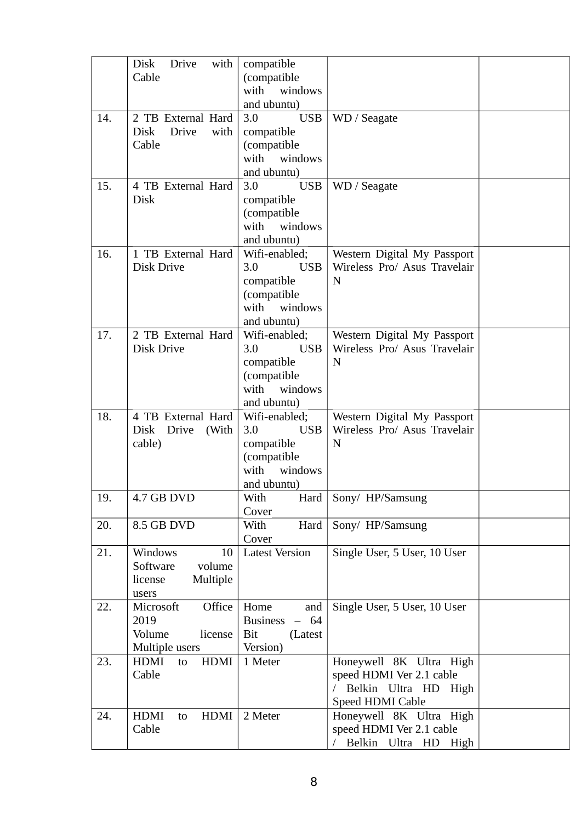|     | with<br>Disk<br><b>Drive</b><br>Cable                               | compatible<br>(compatible<br>with<br>windows<br>and ubuntu)                                       |                                                                                                      |  |
|-----|---------------------------------------------------------------------|---------------------------------------------------------------------------------------------------|------------------------------------------------------------------------------------------------------|--|
| 14. | 2 TB External Hard<br>Disk<br><b>Drive</b><br>with<br>Cable         | 3.0<br><b>USB</b><br>compatible<br>(compatible<br>with windows<br>and ubuntu)                     | WD / Seagate                                                                                         |  |
| 15. | 4 TB External Hard<br>Disk                                          | 3.0<br><b>USB</b><br>compatible<br>(compatible<br>with<br>windows<br>and ubuntu)                  | WD / Seagate                                                                                         |  |
| 16. | 1 TB External Hard<br>Disk Drive                                    | Wifi-enabled;<br>3.0<br><b>USB</b><br>compatible<br>(compatible<br>with<br>windows<br>and ubuntu) | Western Digital My Passport<br>Wireless Pro/ Asus Travelair<br>N                                     |  |
| 17. | 2 TB External Hard<br>Disk Drive                                    | Wifi-enabled;<br>3.0<br><b>USB</b><br>compatible<br>(compatible<br>with<br>windows<br>and ubuntu) | Western Digital My Passport<br>Wireless Pro/ Asus Travelair<br>N                                     |  |
| 18. | 4 TB External Hard<br>Disk<br><b>Drive</b><br>(With<br>cable)       | Wifi-enabled;<br>3.0<br><b>USB</b><br>compatible<br>(compatible<br>with<br>windows<br>and ubuntu) | Western Digital My Passport<br>Wireless Pro/ Asus Travelair<br>N                                     |  |
| 19. | 4.7 GB DVD                                                          | With<br>Hard<br>Cover                                                                             | Sony/ HP/Samsung                                                                                     |  |
| 20. | 8.5 GB DVD                                                          | With<br>Hard<br>Cover                                                                             | Sony/ HP/Samsung                                                                                     |  |
| 21. | Windows<br>10<br>Software<br>volume<br>Multiple<br>license<br>users | <b>Latest Version</b>                                                                             | Single User, 5 User, 10 User                                                                         |  |
| 22. | Office<br>Microsoft<br>2019<br>Volume<br>license<br>Multiple users  | Home<br>and<br><b>Business</b><br>$-64$<br>Bit<br>(Latest<br>Version)                             | Single User, 5 User, 10 User                                                                         |  |
| 23. | HDMI<br>HDMI<br>to<br>Cable                                         | 1 Meter                                                                                           | Honeywell 8K Ultra High<br>speed HDMI Ver 2.1 cable<br>/ Belkin Ultra HD<br>High<br>Speed HDMI Cable |  |
| 24. | <b>HDMI</b><br>HDMI<br>to<br>Cable                                  | 2 Meter                                                                                           | Honeywell 8K Ultra High<br>speed HDMI Ver 2.1 cable<br>Belkin Ultra HD High                          |  |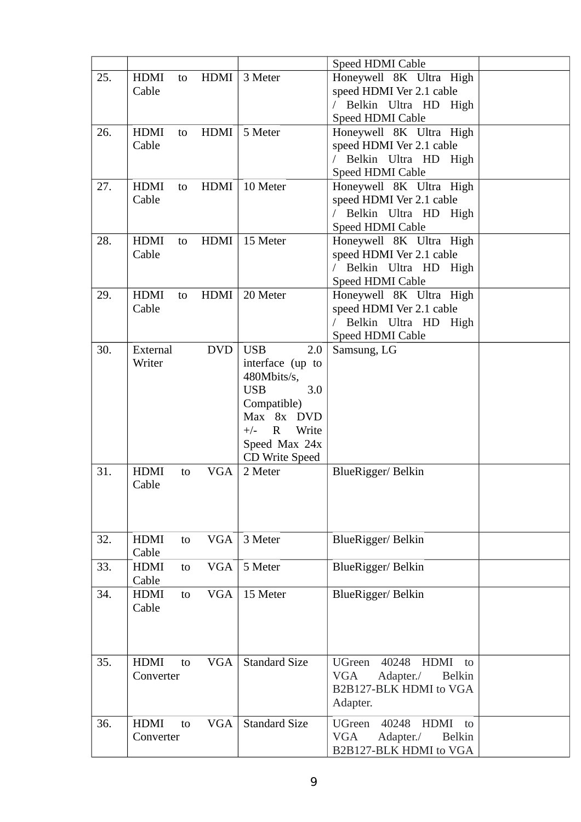|           |             |                   |            |                               | Speed HDMI Cable                            |  |
|-----------|-------------|-------------------|------------|-------------------------------|---------------------------------------------|--|
| 25.       | <b>HDMI</b> | to                | HDMI       | 3 Meter                       | Honeywell 8K Ultra High                     |  |
|           | Cable       |                   |            |                               | speed HDMI Ver 2.1 cable                    |  |
|           |             |                   |            |                               | / Belkin Ultra HD<br>High                   |  |
|           |             |                   |            |                               | Speed HDMI Cable                            |  |
| 26.       | <b>HDMI</b> | to                | HDMI       | 5 Meter                       | Honeywell 8K Ultra High                     |  |
|           | Cable       |                   |            |                               | speed HDMI Ver 2.1 cable                    |  |
|           |             |                   |            |                               | / Belkin Ultra HD High                      |  |
|           |             |                   |            |                               |                                             |  |
|           |             |                   |            |                               | Speed HDMI Cable                            |  |
| 27.       | <b>HDMI</b> | to                | HDMI       | 10 Meter                      | Honeywell 8K Ultra High                     |  |
|           | Cable       |                   |            |                               | speed HDMI Ver 2.1 cable                    |  |
|           |             |                   |            |                               | / Belkin Ultra HD High                      |  |
|           |             |                   |            |                               | Speed HDMI Cable                            |  |
| 28.       | <b>HDMI</b> | to                | HDMI       | 15 Meter                      | Honeywell 8K Ultra High                     |  |
|           | Cable       |                   |            |                               | speed HDMI Ver 2.1 cable                    |  |
|           |             |                   |            |                               | / Belkin Ultra HD<br>High                   |  |
|           |             |                   |            |                               | Speed HDMI Cable                            |  |
| 29.       | <b>HDMI</b> | to                | HDMI       | 20 Meter                      | Honeywell 8K Ultra High                     |  |
|           | Cable       |                   |            |                               | speed HDMI Ver 2.1 cable                    |  |
|           |             |                   |            |                               | / Belkin Ultra HD<br>High                   |  |
|           |             |                   |            |                               | Speed HDMI Cable                            |  |
|           |             |                   |            |                               |                                             |  |
| 30.       | External    |                   | <b>DVD</b> | <b>USB</b><br>2.0             | Samsung, LG                                 |  |
|           | Writer      |                   |            | interface (up to              |                                             |  |
|           |             |                   |            | 480Mbits/s,                   |                                             |  |
|           |             | 3.0<br><b>USB</b> |            |                               |                                             |  |
|           |             | Compatible)       |            |                               |                                             |  |
|           |             | Max 8x DVD        |            |                               |                                             |  |
|           |             |                   |            | $\mathbf R$<br>Write<br>$+/-$ |                                             |  |
|           |             |                   |            | Speed Max 24x                 |                                             |  |
|           |             |                   |            | CD Write Speed                |                                             |  |
| 31.       | <b>HDMI</b> | to                | <b>VGA</b> | 2 Meter                       | BlueRigger/Belkin                           |  |
|           | Cable       |                   |            |                               |                                             |  |
|           |             |                   |            |                               |                                             |  |
|           |             |                   |            |                               |                                             |  |
|           |             |                   |            |                               |                                             |  |
|           |             |                   |            |                               |                                             |  |
| 32.       | <b>HDMI</b> | to                | <b>VGA</b> | 3 Meter                       | BlueRigger/Belkin                           |  |
|           | Cable       |                   |            |                               |                                             |  |
| 33.       | <b>HDMI</b> | to                | <b>VGA</b> | 5 Meter                       | BlueRigger/ Belkin                          |  |
|           | Cable       |                   |            |                               |                                             |  |
| 34.       | <b>HDMI</b> | to                | <b>VGA</b> | 15 Meter                      | BlueRigger/ Belkin                          |  |
|           | Cable       |                   |            |                               |                                             |  |
|           |             |                   |            |                               |                                             |  |
|           |             |                   |            |                               |                                             |  |
|           |             |                   |            |                               |                                             |  |
| 35.       | <b>HDMI</b> | to                | VGA        | <b>Standard Size</b>          | 40248<br><b>UGreen</b><br><b>HDMI</b><br>to |  |
|           |             |                   |            |                               | Adapter./<br><b>Belkin</b><br>VGA           |  |
| Converter |             |                   |            |                               |                                             |  |
|           |             |                   |            |                               | B2B127-BLK HDMI to VGA                      |  |
|           |             |                   |            |                               | Adapter.                                    |  |
| 36.       | <b>HDMI</b> | to                | <b>VGA</b> | <b>Standard Size</b>          | <b>HDMI</b><br><b>UGreen</b><br>40248<br>to |  |
|           | Converter   |                   |            |                               | Adapter./<br>VGA<br><b>Belkin</b>           |  |
|           |             |                   |            |                               | B2B127-BLK HDMI to VGA                      |  |
|           |             |                   |            |                               |                                             |  |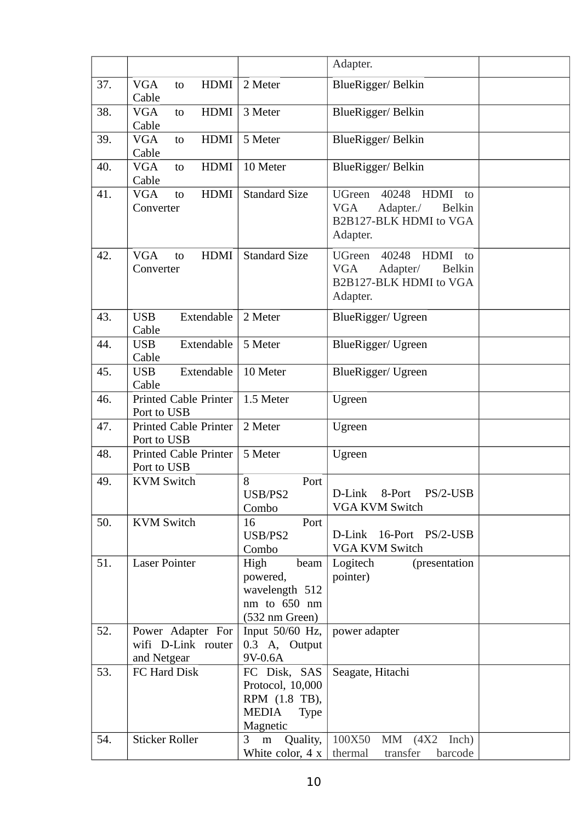|     |                                                        |                                                                                       | Adapter.                                                                                                                      |  |
|-----|--------------------------------------------------------|---------------------------------------------------------------------------------------|-------------------------------------------------------------------------------------------------------------------------------|--|
| 37. | <b>VGA</b><br>HDMI<br>to<br>Cable                      | 2 Meter                                                                               | BlueRigger/ Belkin                                                                                                            |  |
| 38. | <b>VGA</b><br>HDMI<br>to<br>Cable                      | 3 Meter                                                                               | BlueRigger/ Belkin                                                                                                            |  |
| 39. | <b>VGA</b><br>HDMI<br>to<br>Cable                      | 5 Meter                                                                               | BlueRigger/ Belkin                                                                                                            |  |
| 40. | HDMI<br><b>VGA</b><br>to<br>Cable                      | 10 Meter                                                                              | BlueRigger/ Belkin                                                                                                            |  |
| 41. | <b>VGA</b><br>HDMI<br>to<br>Converter                  | <b>Standard Size</b>                                                                  | <b>UGreen</b><br><b>HDMI</b><br>40248<br>to<br><b>VGA</b><br>Adapter./<br><b>Belkin</b><br>B2B127-BLK HDMI to VGA<br>Adapter. |  |
| 42. | <b>VGA</b><br>HDMI<br>to<br>Converter                  | <b>Standard Size</b>                                                                  | <b>UGreen</b><br>40248<br><b>HDMI</b><br>to<br>VGA<br>Adapter/<br><b>Belkin</b><br>B2B127-BLK HDMI to VGA<br>Adapter.         |  |
| 43. | Extendable<br><b>USB</b><br>Cable                      | 2 Meter                                                                               | BlueRigger/ Ugreen                                                                                                            |  |
| 44. | Extendable<br><b>USB</b><br>Cable                      | 5 Meter                                                                               | BlueRigger/ Ugreen                                                                                                            |  |
| 45. | Extendable<br><b>USB</b><br>Cable                      | 10 Meter                                                                              | BlueRigger/ Ugreen                                                                                                            |  |
| 46. | <b>Printed Cable Printer</b><br>Port to USB            | 1.5 Meter                                                                             | Ugreen                                                                                                                        |  |
| 47. | <b>Printed Cable Printer</b><br>Port to USB            | 2 Meter                                                                               | Ugreen                                                                                                                        |  |
| 48. | <b>Printed Cable Printer</b><br>Port to USB            | 5 Meter                                                                               | Ugreen                                                                                                                        |  |
| 49. | <b>KVM Switch</b>                                      | 8<br>Port<br>USB/PS2<br>Combo                                                         | D-Link 8-Port PS/2-USB<br><b>VGA KVM Switch</b>                                                                               |  |
| 50. | <b>KVM Switch</b>                                      | 16<br>Port<br>USB/PS2<br>Combo                                                        | D-Link 16-Port PS/2-USB<br><b>VGA KVM Switch</b>                                                                              |  |
| 51. | <b>Laser Pointer</b>                                   | High<br>beam<br>powered,<br>wavelength 512<br>nm to 650 nm<br>$(532$ nm Green)        | Logitech<br>(presentation<br>pointer)                                                                                         |  |
| 52. | Power Adapter For<br>wifi D-Link router<br>and Netgear | Input $50/60$ Hz,<br>0.3 A, Output<br>9V-0.6A                                         | power adapter                                                                                                                 |  |
| 53. | FC Hard Disk                                           | FC Disk, SAS<br>Protocol, 10,000<br>RPM (1.8 TB),<br>MEDIA<br><b>Type</b><br>Magnetic | Seagate, Hitachi                                                                                                              |  |
| 54. | <b>Sticker Roller</b>                                  | 3<br>Quality,<br>$\mathbf m$<br>White color, $4 x$                                    | 100X50 MM (4X2<br>Inch)<br>thermal<br>transfer<br>barcode                                                                     |  |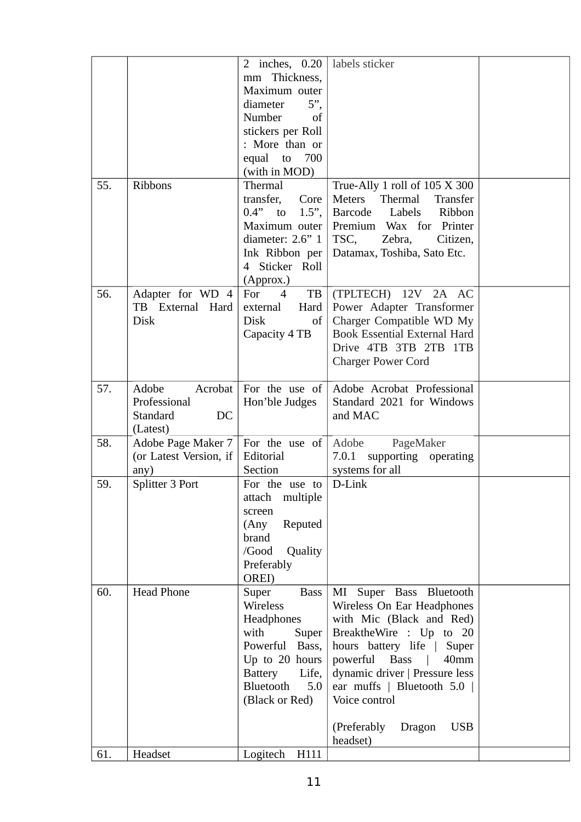|     |                        | 2 inches, 0.20                  | labels sticker                       |  |
|-----|------------------------|---------------------------------|--------------------------------------|--|
|     |                        | Thickness,<br>mm                |                                      |  |
|     |                        | Maximum outer                   |                                      |  |
|     |                        | $5$ ",<br>diameter              |                                      |  |
|     |                        | Number<br>of                    |                                      |  |
|     |                        | stickers per Roll               |                                      |  |
|     |                        | : More than or                  |                                      |  |
|     |                        | 700<br>equal to                 |                                      |  |
|     |                        | (with in MOD)                   |                                      |  |
| 55. | Ribbons                | Thermal                         | True-Ally 1 roll of 105 X 300        |  |
|     |                        | transfer,<br>Core               | Meters<br>Thermal<br><b>Transfer</b> |  |
|     |                        | $0.4"$ to<br>1.5",              | Labels<br>Ribbon<br><b>Barcode</b>   |  |
|     |                        | Maximum outer                   | Premium Wax for Printer              |  |
|     |                        | diameter: $2.6"$ 1              | TSC,<br>Zebra,<br>Citizen,           |  |
|     |                        | Ink Ribbon per                  | Datamax, Toshiba, Sato Etc.          |  |
|     |                        | 4 Sticker Roll                  |                                      |  |
|     |                        | (Approx.)                       |                                      |  |
| 56. | Adapter for WD 4       | TB<br>For<br>$\overline{4}$     | (TPLTECH) 12V 2A AC                  |  |
|     | TB External Hard       |                                 |                                      |  |
|     |                        | Hard<br>external<br><b>Disk</b> | Power Adapter Transformer            |  |
|     | Disk                   | of                              | Charger Compatible WD My             |  |
|     |                        | Capacity 4 TB                   | <b>Book Essential External Hard</b>  |  |
|     |                        |                                 | Drive 4TB 3TB 2TB 1TB                |  |
|     |                        |                                 | <b>Charger Power Cord</b>            |  |
|     |                        |                                 |                                      |  |
| 57. | Adobe<br>Acrobat       | For the use of                  | Adobe Acrobat Professional           |  |
|     | Professional           | Hon'ble Judges                  | Standard 2021 for Windows            |  |
|     | <b>Standard</b><br>DC  |                                 | and MAC                              |  |
|     | (Latest)               |                                 |                                      |  |
| 58. | Adobe Page Maker 7     | For the use of                  | Adobe<br>PageMaker                   |  |
|     | (or Latest Version, if | Editorial                       | 7.0.1<br>supporting operating        |  |
|     | any)                   | Section                         | systems for all                      |  |
| 59. | Splitter 3 Port        | For the use to                  | D-Link                               |  |
|     |                        | multiple<br>attach              |                                      |  |
|     |                        | screen                          |                                      |  |
|     |                        | Reputed<br>(Any                 |                                      |  |
|     |                        | brand                           |                                      |  |
|     |                        | /Good<br>Quality                |                                      |  |
|     |                        | Preferably                      |                                      |  |
|     |                        | OREI)                           |                                      |  |
| 60. | <b>Head Phone</b>      | <b>Bass</b><br>Super            | MI Super Bass Bluetooth              |  |
|     |                        | Wireless                        | Wireless On Ear Headphones           |  |
|     |                        | Headphones                      | with Mic (Black and Red)             |  |
|     |                        | with<br>Super                   | BreaktheWire : Up to 20              |  |
|     |                        | Powerful<br>Bass,               | hours battery life  <br>Super        |  |
|     |                        | Up to 20 hours                  | powerful<br><b>Bass</b><br>40mm      |  |
|     |                        | <b>Battery</b><br>Life,         | dynamic driver   Pressure less       |  |
|     |                        | Bluetooth<br>5.0                | ear muffs   Bluetooth 5.0            |  |
|     |                        | (Black or Red)                  | Voice control                        |  |
|     |                        |                                 |                                      |  |
|     |                        |                                 | (Preferably<br><b>USB</b><br>Dragon  |  |
|     |                        |                                 | headset)                             |  |
| 61. | Headset                | Logitech<br>H111                |                                      |  |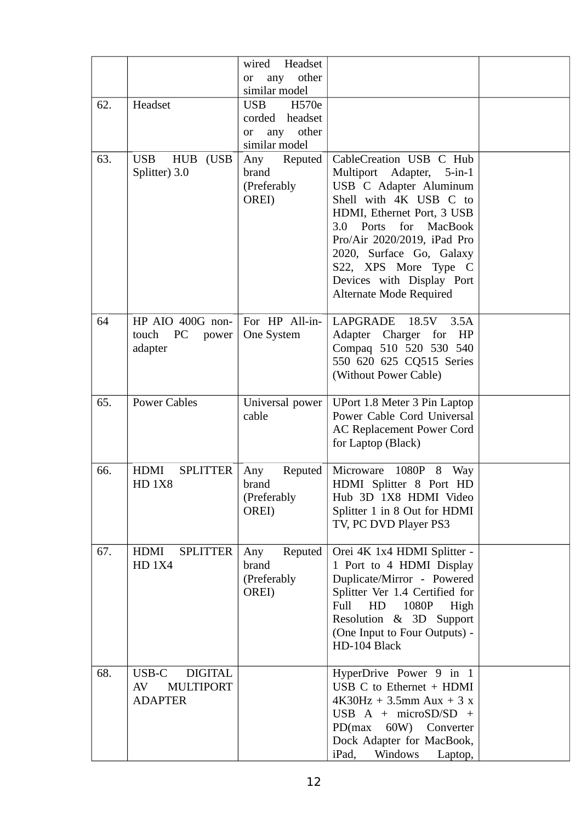|     |                                | wired<br>Headset         |                                                            |  |
|-----|--------------------------------|--------------------------|------------------------------------------------------------|--|
|     |                                | other<br>any<br>or       |                                                            |  |
|     |                                | similar model            |                                                            |  |
| 62. | Headset                        | <b>USB</b><br>H570e      |                                                            |  |
|     |                                | headset<br>corded        |                                                            |  |
|     |                                | other<br>any<br>or       |                                                            |  |
|     |                                | similar model            |                                                            |  |
| 63. | <b>USB</b><br>HUB (USB         | Any<br>Reputed           | CableCreation USB C Hub                                    |  |
|     | Splitter) 3.0                  | brand                    | Multiport Adapter,<br>$5$ -in-1                            |  |
|     |                                | (Preferably              | USB C Adapter Aluminum                                     |  |
|     |                                | OREI)                    | Shell with 4K USB C to<br>HDMI, Ethernet Port, 3 USB       |  |
|     |                                |                          | Ports<br>for<br>MacBook<br>3.0                             |  |
|     |                                |                          | Pro/Air 2020/2019, iPad Pro                                |  |
|     |                                |                          | 2020, Surface Go, Galaxy                                   |  |
|     |                                |                          | S22, XPS More Type C                                       |  |
|     |                                |                          | Devices with Display Port                                  |  |
|     |                                |                          | Alternate Mode Required                                    |  |
| 64  | HP AIO 400G non-               | For HP All-in-           | <b>LAPGRADE</b><br>18.5V<br>3.5A                           |  |
|     | PC<br>touch<br>power           | One System               | Adapter Charger for<br>HP                                  |  |
|     | adapter                        |                          | Compaq 510 520 530 540                                     |  |
|     |                                |                          | 550 620 625 CQ515 Series                                   |  |
|     |                                |                          | (Without Power Cable)                                      |  |
|     |                                |                          |                                                            |  |
| 65. | <b>Power Cables</b>            | Universal power<br>cable | UPort 1.8 Meter 3 Pin Laptop<br>Power Cable Cord Universal |  |
|     |                                |                          | AC Replacement Power Cord                                  |  |
|     |                                |                          | for Laptop (Black)                                         |  |
|     |                                |                          |                                                            |  |
| 66. | <b>HDMI</b><br><b>SPLITTER</b> | Reputed<br>Any           | Microware<br>1080P 8<br>Way                                |  |
|     | <b>HD 1X8</b>                  | brand                    | HDMI Splitter 8 Port HD                                    |  |
|     |                                | (Preferably<br>OREI)     | Hub 3D 1X8 HDMI Video<br>Splitter 1 in 8 Out for HDMI      |  |
|     |                                |                          | TV, PC DVD Player PS3                                      |  |
|     |                                |                          |                                                            |  |
| 67. | HDMI<br><b>SPLITTER</b>        | Reputed<br>Any           | Orei 4K 1x4 HDMI Splitter -                                |  |
|     | <b>HD 1X4</b>                  | brand                    | 1 Port to 4 HDMI Display                                   |  |
|     |                                | (Preferably              | Duplicate/Mirror - Powered                                 |  |
|     |                                | OREI)                    | Splitter Ver 1.4 Certified for                             |  |
|     |                                |                          | Full<br>HD<br>1080P<br>High                                |  |
|     |                                |                          | Resolution & 3D Support<br>(One Input to Four Outputs) -   |  |
|     |                                |                          | HD-104 Black                                               |  |
|     |                                |                          |                                                            |  |
| 68. | USB-C<br><b>DIGITAL</b>        |                          | HyperDrive Power 9 in 1                                    |  |
|     | <b>MULTIPORT</b><br>AV         |                          | USB C to Ethernet + HDMI                                   |  |
|     | <b>ADAPTER</b>                 |                          | $4K30Hz + 3.5mm Aux + 3x$                                  |  |
|     |                                |                          | USB A + microSD/SD +<br>PD(max 60W) Converter              |  |
|     |                                |                          | Dock Adapter for MacBook,                                  |  |
|     |                                |                          | iPad,<br>Windows<br>Laptop,                                |  |
|     |                                |                          |                                                            |  |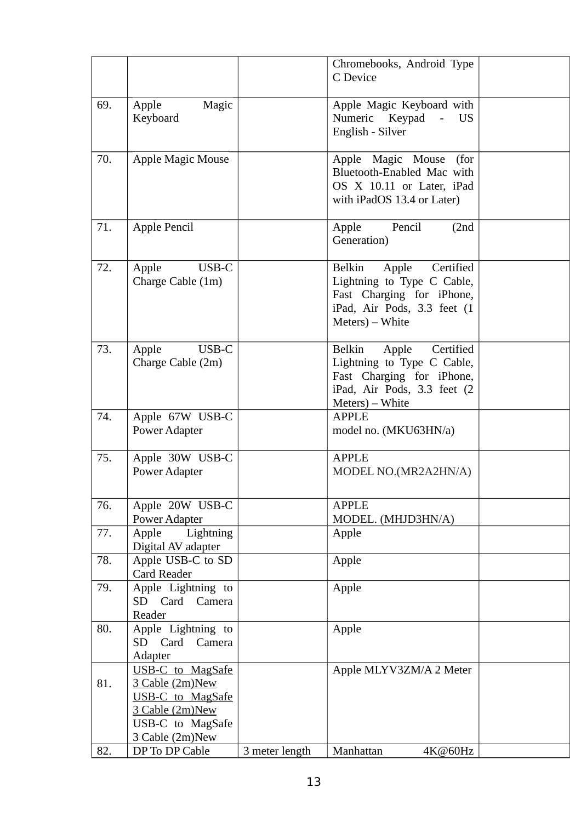|     |                                                                                                                          |                | Chromebooks, Android Type                                                                                                                         |  |
|-----|--------------------------------------------------------------------------------------------------------------------------|----------------|---------------------------------------------------------------------------------------------------------------------------------------------------|--|
|     |                                                                                                                          |                | C Device                                                                                                                                          |  |
| 69. | Apple<br>Magic<br>Keyboard                                                                                               |                | Apple Magic Keyboard with<br>Numeric Keypad<br>- US<br>English - Silver                                                                           |  |
| 70. | <b>Apple Magic Mouse</b>                                                                                                 |                | Apple Magic Mouse<br>(for<br>Bluetooth-Enabled Mac with<br>OS X 10.11 or Later, iPad<br>with iPadOS 13.4 or Later)                                |  |
| 71. | Apple Pencil                                                                                                             |                | Apple<br>Pencil<br>(2nd)<br>Generation)                                                                                                           |  |
| 72. | USB-C<br>Apple<br>Charge Cable (1m)                                                                                      |                | <b>Belkin</b><br>Certified<br>Apple<br>Lightning to Type C Cable,<br>Fast Charging for iPhone,<br>iPad, Air Pods, 3.3 feet (1<br>Meters) - White  |  |
| 73. | USB-C<br>Apple<br>Charge Cable (2m)                                                                                      |                | <b>Belkin</b><br>Certified<br>Apple<br>Lightning to Type C Cable,<br>Fast Charging for iPhone,<br>iPad, Air Pods, 3.3 feet (2)<br>Meters) – White |  |
| 74. | Apple 67W USB-C<br><b>Power Adapter</b>                                                                                  |                | <b>APPLE</b><br>model no. (MKU63HN/a)                                                                                                             |  |
| 75. | Apple 30W USB-C<br><b>Power Adapter</b>                                                                                  |                | <b>APPLE</b><br>MODEL NO.(MR2A2HN/A)                                                                                                              |  |
| 76. | Apple 20W USB-C<br><b>Power Adapter</b>                                                                                  |                | <b>APPLE</b><br>MODEL. (MHJD3HN/A)                                                                                                                |  |
| 77. | Apple<br>Lightning<br>Digital AV adapter                                                                                 |                | Apple                                                                                                                                             |  |
| 78. | Apple USB-C to SD<br><b>Card Reader</b>                                                                                  |                | Apple                                                                                                                                             |  |
| 79. | Apple Lightning to<br><b>SD</b><br>Card<br>Camera<br>Reader                                                              |                | Apple                                                                                                                                             |  |
| 80. | Apple Lightning to<br>Camera<br>SD<br>Card<br>Adapter                                                                    |                | Apple                                                                                                                                             |  |
| 81. | USB-C to MagSafe<br>3 Cable (2m)New<br><b>USB-C</b> to MagSafe<br>3 Cable (2m)New<br>USB-C to MagSafe<br>3 Cable (2m)New |                | Apple MLYV3ZM/A 2 Meter                                                                                                                           |  |
| 82. | DP To DP Cable                                                                                                           | 3 meter length | Manhattan<br>4K@60Hz                                                                                                                              |  |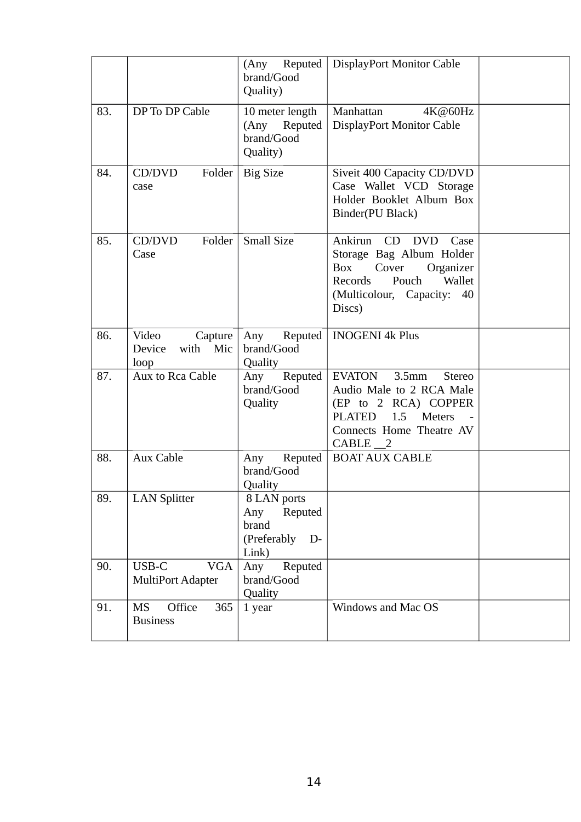|     |                                                   | Reputed<br>(Any<br>brand/Good<br>Quality)                              | <b>DisplayPort Monitor Cable</b>                                                                                                                                                        |  |
|-----|---------------------------------------------------|------------------------------------------------------------------------|-----------------------------------------------------------------------------------------------------------------------------------------------------------------------------------------|--|
| 83. | DP To DP Cable                                    | 10 meter length<br>(Any<br>Reputed<br>brand/Good<br>Quality)           | Manhattan<br>4K@60Hz<br><b>DisplayPort Monitor Cable</b>                                                                                                                                |  |
| 84. | CD/DVD<br>Folder<br>case                          | <b>Big Size</b>                                                        | Siveit 400 Capacity CD/DVD<br>Case Wallet VCD Storage<br>Holder Booklet Album Box<br>Binder(PU Black)                                                                                   |  |
| 85. | Folder<br>CD/DVD<br>Case                          | <b>Small Size</b>                                                      | Ankirun<br>CD DVD<br>Case<br>Storage Bag Album Holder<br><b>Box</b><br>Cover<br>Organizer<br>Pouch<br>Records<br>Wallet<br>(Multicolour, Capacity:<br>40<br>Discs)                      |  |
| 86. | Video<br>Capture<br>Mic<br>with<br>Device<br>loop | Reputed<br>Any<br>brand/Good<br>Quality                                | <b>INOGENI 4k Plus</b>                                                                                                                                                                  |  |
| 87. | Aux to Rca Cable                                  | Any<br>Reputed<br>brand/Good<br>Quality                                | <b>EVATON</b><br>3.5 <sub>mm</sub><br><b>Stereo</b><br>Audio Male to 2 RCA Male<br>(EP to 2 RCA) COPPER<br>1.5<br><b>PLATED</b><br><b>Meters</b><br>Connects Home Theatre AV<br>CABLE 2 |  |
| 88. | <b>Aux Cable</b>                                  | Reputed<br>Any<br>brand/Good<br>Quality                                | <b>BOAT AUX CABLE</b>                                                                                                                                                                   |  |
| 89. | <b>LAN Splitter</b>                               | 8 LAN ports<br>Any<br>Reputed<br>brand<br>(Preferably<br>$D-$<br>Link) |                                                                                                                                                                                         |  |
| 90. | USB-C<br><b>VGA</b><br><b>MultiPort Adapter</b>   | Reputed<br>Any<br>brand/Good<br>Quality                                |                                                                                                                                                                                         |  |
| 91. | Office<br><b>MS</b><br>365<br><b>Business</b>     | 1 year                                                                 | Windows and Mac OS                                                                                                                                                                      |  |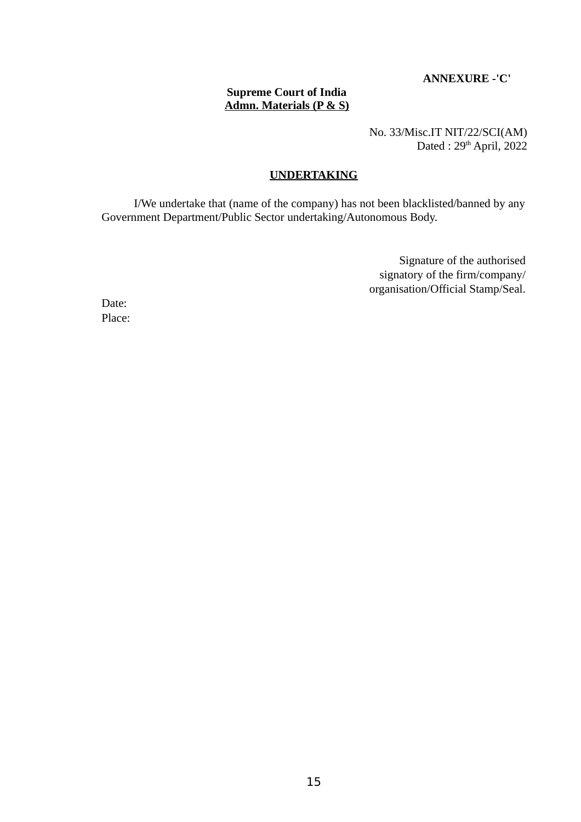**ANNEXURE -'C'** 

# **Supreme Court of India Admn. Materials (P & S)**

 No. 33/Misc.IT NIT/22/SCI(AM) Dated :  $29<sup>th</sup>$  April, 2022

### **UNDERTAKING**

I/We undertake that (name of the company) has not been blacklisted/banned by any Government Department/Public Sector undertaking/Autonomous Body.

> Signature of the authorised signatory of the firm/company/ organisation/Official Stamp/Seal.

Date: Place: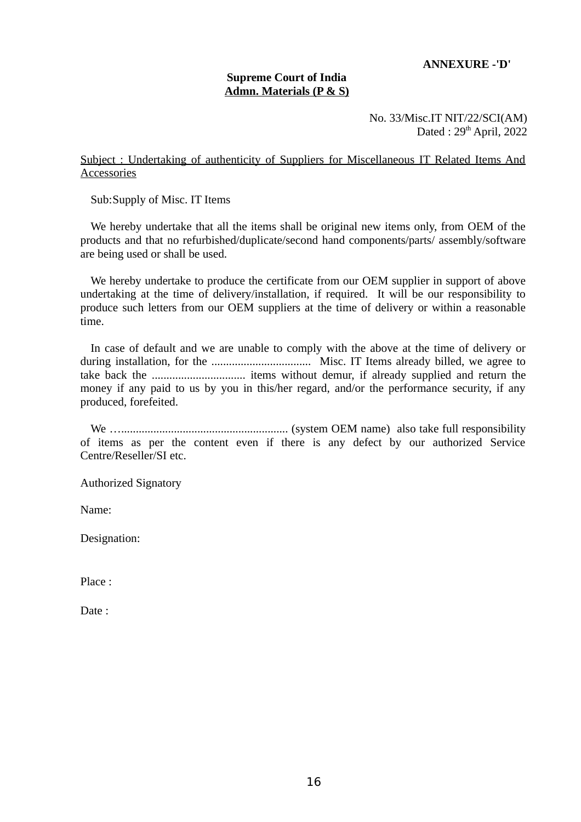**ANNEXURE -'D'** 

# **Supreme Court of India Admn. Materials (P & S)**

 No. 33/Misc.IT NIT/22/SCI(AM) Dated : 29<sup>th</sup> April, 2022

### Subject : Undertaking of authenticity of Suppliers for Miscellaneous IT Related Items And **Accessories**

Sub:Supply of Misc. IT Items

We hereby undertake that all the items shall be original new items only, from OEM of the products and that no refurbished/duplicate/second hand components/parts/ assembly/software are being used or shall be used.

We hereby undertake to produce the certificate from our OEM supplier in support of above undertaking at the time of delivery/installation, if required. It will be our responsibility to produce such letters from our OEM suppliers at the time of delivery or within a reasonable time.

In case of default and we are unable to comply with the above at the time of delivery or during installation, for the .................................. Misc. IT Items already billed, we agree to take back the ................................ items without demur, if already supplied and return the money if any paid to us by you in this/her regard, and/or the performance security, if any produced, forefeited.

We …......................................................... (system OEM name) also take full responsibility of items as per the content even if there is any defect by our authorized Service Centre/Reseller/SI etc.

Authorized Signatory

Name:

Designation:

Place :

Date: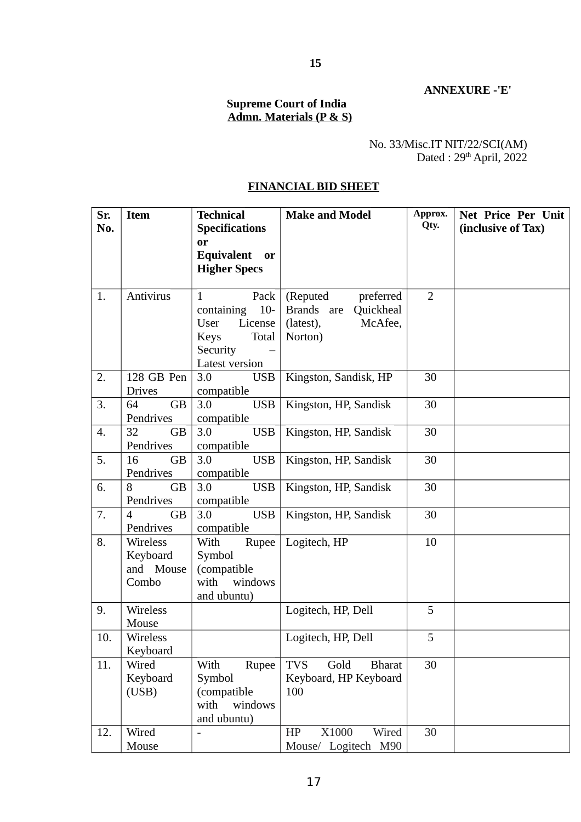### **ANNEXURE -'E'**

### **Supreme Court of India Admn. Materials (P & S)**

 No. 33/Misc.IT NIT/22/SCI(AM)  $Dated: 29<sup>th</sup> April, 2022$ 

### **FINANCIAL BID SHEET**

| Sr.<br>No. | <b>Item</b>                                        | <b>Technical</b><br><b>Specifications</b>                                                                            | <b>Make and Model</b>                                                               | Approx.<br>Qty. | <b>Net Price Per Unit</b><br>(inclusive of Tax) |
|------------|----------------------------------------------------|----------------------------------------------------------------------------------------------------------------------|-------------------------------------------------------------------------------------|-----------------|-------------------------------------------------|
|            |                                                    | 0r<br><b>Equivalent</b><br><b>or</b><br><b>Higher Specs</b>                                                          |                                                                                     |                 |                                                 |
| 1.         | Antivirus                                          | Pack<br>$\mathbf{1}$<br>$10-$<br>containing<br>License<br>User<br>Total<br><b>Keys</b><br>Security<br>Latest version | (Reputed<br>preferred<br>Brands are<br>Quickheal<br>McAfee,<br>(latest),<br>Norton) | $\overline{2}$  |                                                 |
| 2.         | 128 GB Pen<br><b>Drives</b>                        | 3.0<br><b>USB</b><br>compatible                                                                                      | Kingston, Sandisk, HP                                                               | 30              |                                                 |
| 3.         | <b>GB</b><br>64<br>Pendrives                       | 3.0<br><b>USB</b><br>compatible                                                                                      | Kingston, HP, Sandisk                                                               | 30              |                                                 |
| 4.         | 32<br><b>GB</b><br>Pendrives                       | 3.0<br><b>USB</b><br>compatible                                                                                      | Kingston, HP, Sandisk                                                               | 30              |                                                 |
| 5.         | <b>GB</b><br>16<br>Pendrives                       | <b>USB</b><br>3.0<br>compatible                                                                                      | Kingston, HP, Sandisk                                                               | 30              |                                                 |
| 6.         | 8<br><b>GB</b><br>Pendrives                        | 3.0<br><b>USB</b><br>compatible                                                                                      | Kingston, HP, Sandisk                                                               | 30              |                                                 |
| 7.         | <b>GB</b><br>$\overline{\mathcal{A}}$<br>Pendrives | 3.0<br><b>USB</b><br>compatible                                                                                      | Kingston, HP, Sandisk                                                               | 30              |                                                 |
| 8.         | <b>Wireless</b><br>Keyboard<br>and Mouse<br>Combo  | With<br>Rupee<br>Symbol<br>(compatible)<br>windows<br>with<br>and ubuntu)                                            | Logitech, HP                                                                        | 10              |                                                 |
| 9.         | Wireless<br>Mouse                                  |                                                                                                                      | Logitech, HP, Dell                                                                  | 5               |                                                 |
| 10.        | Wireless<br>Keyboard                               |                                                                                                                      | Logitech, HP, Dell                                                                  | 5               |                                                 |
| 11.        | Wired<br>Keyboard<br>(USB)                         | With<br>Rupee<br>Symbol<br>(compatible<br>with<br>windows<br>and ubuntu)                                             | <b>TVS</b><br>Gold<br><b>Bharat</b><br>Keyboard, HP Keyboard<br>100                 | 30              |                                                 |
| 12.        | Wired<br>Mouse                                     |                                                                                                                      | X1000<br>HP<br>Wired<br>Mouse/ Logitech M90                                         | 30              |                                                 |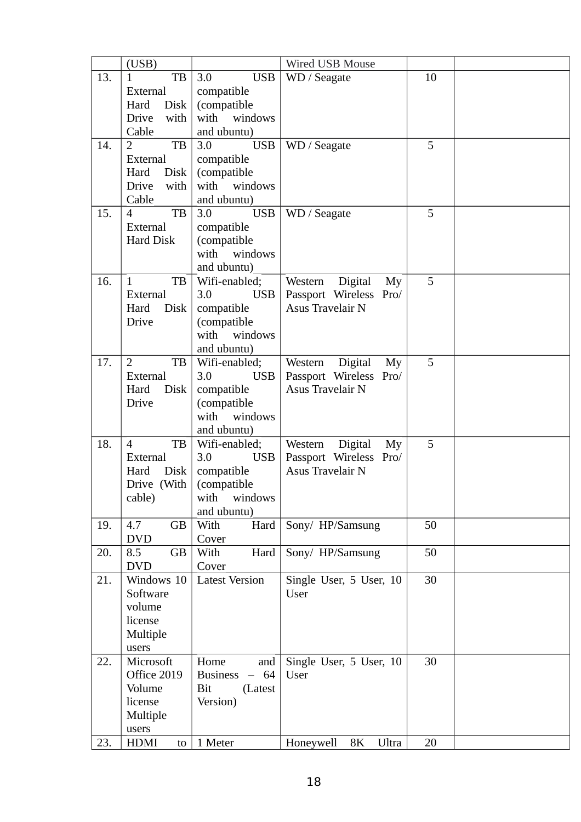|     | (USB)                |                                   | <b>Wired USB Mouse</b>    |    |  |
|-----|----------------------|-----------------------------------|---------------------------|----|--|
| 13. | TB<br>$\mathbf{1}$   | 3.0<br><b>USB</b>                 | WD / Seagate              | 10 |  |
|     | External             | compatible                        |                           |    |  |
|     | Disk<br>Hard         | (compatible                       |                           |    |  |
|     | with<br><b>Drive</b> | with windows                      |                           |    |  |
|     | Cable                | and ubuntu)                       |                           |    |  |
| 14. | $\overline{2}$<br>TB | <b>USB</b><br>3.0                 | WD / Seagate              | 5  |  |
|     | External             | compatible                        |                           |    |  |
|     | Disk<br>Hard         | (compatible                       |                           |    |  |
|     | <b>Drive</b><br>with | with<br>windows                   |                           |    |  |
|     | Cable                | and ubuntu)                       |                           |    |  |
| 15. | TB<br>$\overline{4}$ | <b>USB</b><br>3.0                 | WD / Seagate              | 5  |  |
|     | External             | compatible                        |                           |    |  |
|     | <b>Hard Disk</b>     | (compatible                       |                           |    |  |
|     |                      | with<br>windows                   |                           |    |  |
|     |                      | and ubuntu)                       |                           |    |  |
| 16. | $\mathbf{1}$<br>TB   | Wifi-enabled;                     | Digital<br>Western<br>My  | 5  |  |
|     | External             | 3.0<br><b>USB</b>                 | Passport Wireless<br>Pro/ |    |  |
|     | Disk<br>Hard         | compatible                        | Asus Travelair N          |    |  |
|     | <b>Drive</b>         | (compatible                       |                           |    |  |
|     |                      | with<br>windows                   |                           |    |  |
|     |                      | and ubuntu)                       |                           |    |  |
| 17. | $\overline{2}$<br>TB | Wifi-enabled;                     | Western<br>Digital<br>My  | 5  |  |
|     | External             | 3.0<br><b>USB</b>                 | Passport Wireless<br>Pro/ |    |  |
|     | Disk<br>Hard         | compatible                        | Asus Travelair N          |    |  |
|     | <b>Drive</b>         | (compatible                       |                           |    |  |
|     |                      | with<br>windows                   |                           |    |  |
|     |                      | and ubuntu)                       |                           |    |  |
| 18. | $\overline{4}$<br>TB | Wifi-enabled;                     | Western<br>Digital<br>My  | 5  |  |
|     | External             | 3.0<br><b>USB</b>                 | Passport Wireless<br>Pro/ |    |  |
|     | Disk<br>Hard         | compatible                        | Asus Travelair N          |    |  |
|     | Drive (With          | (compatible                       |                           |    |  |
|     | cable)               | with<br>windows                   |                           |    |  |
|     |                      | and ubuntu)                       |                           |    |  |
| 19. | 4.7<br><b>GB</b>     | Hard<br>With                      | Sony/ HP/Samsung          | 50 |  |
|     | <b>DVD</b>           | Cover                             |                           |    |  |
| 20. | 8.5<br>GB            | Hard<br>With                      | Sony/ HP/Samsung          | 50 |  |
|     | <b>DVD</b>           | Cover                             |                           |    |  |
| 21. | Windows 10           | <b>Latest Version</b>             | Single User, 5 User, 10   | 30 |  |
|     | Software             |                                   | <b>User</b>               |    |  |
|     | volume               |                                   |                           |    |  |
|     | license              |                                   |                           |    |  |
|     | Multiple             |                                   |                           |    |  |
|     | users                |                                   |                           |    |  |
| 22. | Microsoft            | Home<br>and                       | Single User, 5 User, 10   | 30 |  |
|     | Office 2019          | 64<br><b>Business</b><br>$\equiv$ | <b>User</b>               |    |  |
|     | Volume               | Bit<br>(Latest                    |                           |    |  |
|     | license              | Version)                          |                           |    |  |
|     | Multiple             |                                   |                           |    |  |
|     | users                |                                   |                           |    |  |
| 23. | HDMI<br>to           | 1 Meter                           | Honeywell<br>Ultra<br>8K  | 20 |  |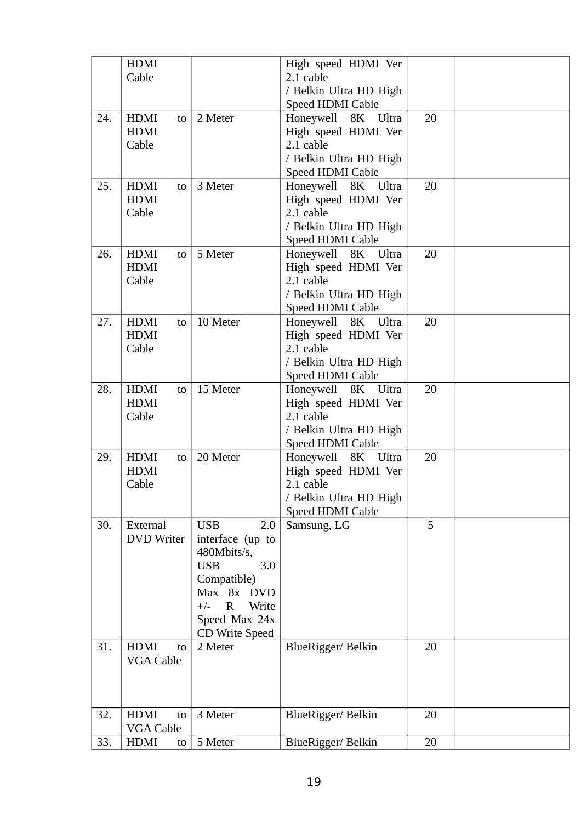|     | HDMI<br>Cable                             |                                                                                                                                                                                   | High speed HDMI Ver<br>2.1 cable                                                                           |    |  |
|-----|-------------------------------------------|-----------------------------------------------------------------------------------------------------------------------------------------------------------------------------------|------------------------------------------------------------------------------------------------------------|----|--|
|     |                                           |                                                                                                                                                                                   | / Belkin Ultra HD High<br>Speed HDMI Cable                                                                 |    |  |
| 24. | <b>HDMI</b><br>to<br><b>HDMI</b><br>Cable | 2 Meter                                                                                                                                                                           | Honeywell 8K Ultra<br>High speed HDMI Ver<br>2.1 cable<br>/ Belkin Ultra HD High<br>Speed HDMI Cable       | 20 |  |
| 25. | HDMI<br>to<br><b>HDMI</b><br>Cable        | 3 Meter                                                                                                                                                                           | Honeywell 8K Ultra<br>High speed HDMI Ver<br>2.1 cable<br>/ Belkin Ultra HD High<br>Speed HDMI Cable       | 20 |  |
| 26. | <b>HDMI</b><br>to<br><b>HDMI</b><br>Cable | 5 Meter                                                                                                                                                                           | Honeywell<br>8K Ultra<br>High speed HDMI Ver<br>2.1 cable<br>/ Belkin Ultra HD High<br>Speed HDMI Cable    | 20 |  |
| 27. | <b>HDMI</b><br>to<br><b>HDMI</b><br>Cable | 10 Meter                                                                                                                                                                          | Honeywell 8K Ultra<br>High speed HDMI Ver<br>2.1 cable<br>/ Belkin Ultra HD High<br>Speed HDMI Cable       | 20 |  |
| 28. | <b>HDMI</b><br>to<br>HDMI<br>Cable        | 15 Meter                                                                                                                                                                          | Honeywell<br>Ultra<br>8K<br>High speed HDMI Ver<br>2.1 cable<br>/ Belkin Ultra HD High<br>Speed HDMI Cable | 20 |  |
| 29. | <b>HDMI</b><br>to<br><b>HDMI</b><br>Cable | 20 Meter                                                                                                                                                                          | Honeywell 8K Ultra<br>High speed HDMI Ver<br>2.1 cable<br>/ Belkin Ultra HD High<br>Speed HDMI Cable       | 20 |  |
| 30. | External<br><b>DVD</b> Writer             | <b>USB</b><br>2.0<br>interface (up to<br>480Mbits/s,<br><b>USB</b><br>3.0<br>Compatible)<br>Max 8x DVD<br>$\mathbf R$<br>Write<br>$+/-$<br>Speed Max 24x<br><b>CD Write Speed</b> | Samsung, LG                                                                                                | 5  |  |
| 31. | <b>HDMI</b><br>to<br><b>VGA Cable</b>     | 2 Meter                                                                                                                                                                           | BlueRigger/ Belkin                                                                                         | 20 |  |
| 32. | <b>HDMI</b><br>to<br><b>VGA Cable</b>     | 3 Meter                                                                                                                                                                           | BlueRigger/Belkin                                                                                          | 20 |  |
| 33. | HDMI<br>to                                | 5 Meter                                                                                                                                                                           | BlueRigger/ Belkin                                                                                         | 20 |  |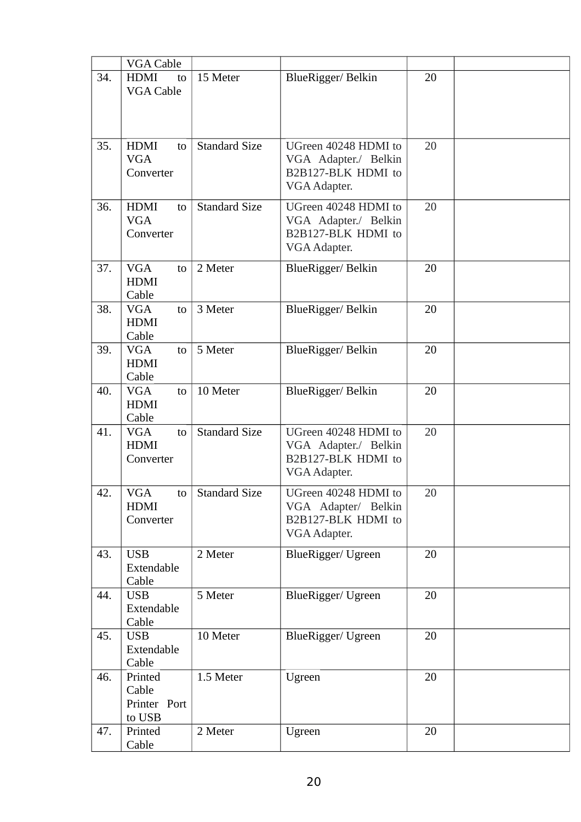|     | <b>VGA Cable</b>  |                      |                      |    |  |
|-----|-------------------|----------------------|----------------------|----|--|
| 34. | <b>HDMI</b><br>to | 15 Meter             | BlueRigger/ Belkin   | 20 |  |
|     | <b>VGA Cable</b>  |                      |                      |    |  |
|     |                   |                      |                      |    |  |
|     |                   |                      |                      |    |  |
|     |                   |                      |                      |    |  |
| 35. | <b>HDMI</b><br>to | <b>Standard Size</b> | UGreen 40248 HDMI to | 20 |  |
|     |                   |                      |                      |    |  |
|     | <b>VGA</b>        |                      | VGA Adapter./ Belkin |    |  |
|     | Converter         |                      | B2B127-BLK HDMI to   |    |  |
|     |                   |                      | VGA Adapter.         |    |  |
| 36. | <b>HDMI</b><br>to | <b>Standard Size</b> | UGreen 40248 HDMI to | 20 |  |
|     | <b>VGA</b>        |                      | VGA Adapter./ Belkin |    |  |
|     | Converter         |                      | B2B127-BLK HDMI to   |    |  |
|     |                   |                      | VGA Adapter.         |    |  |
|     |                   |                      |                      |    |  |
| 37. | <b>VGA</b><br>to  | 2 Meter              | BlueRigger/ Belkin   | 20 |  |
|     | <b>HDMI</b>       |                      |                      |    |  |
|     | Cable             |                      |                      |    |  |
| 38. | <b>VGA</b><br>to  | 3 Meter              | BlueRigger/ Belkin   | 20 |  |
|     | HDMI              |                      |                      |    |  |
|     | Cable             |                      |                      |    |  |
| 39. | <b>VGA</b><br>to  | 5 Meter              | BlueRigger/ Belkin   | 20 |  |
|     | <b>HDMI</b>       |                      |                      |    |  |
|     | Cable             |                      |                      |    |  |
|     |                   |                      |                      |    |  |
| 40. | <b>VGA</b><br>to  | 10 Meter             | BlueRigger/ Belkin   | 20 |  |
|     | HDMI              |                      |                      |    |  |
|     | Cable             |                      |                      |    |  |
| 41. | <b>VGA</b><br>to  | <b>Standard Size</b> | UGreen 40248 HDMI to | 20 |  |
|     | <b>HDMI</b>       |                      | VGA Adapter./ Belkin |    |  |
|     | Converter         |                      | B2B127-BLK HDMI to   |    |  |
|     |                   |                      | VGA Adapter.         |    |  |
| 42. | ${\rm VGA}$<br>to | Standard Size        | UGreen 40248 HDMI to | 20 |  |
|     | <b>HDMI</b>       |                      | VGA Adapter/ Belkin  |    |  |
|     | Converter         |                      | B2B127-BLK HDMI to   |    |  |
|     |                   |                      |                      |    |  |
|     |                   |                      | VGA Adapter.         |    |  |
| 43. | <b>USB</b>        | 2 Meter              | BlueRigger/ Ugreen   | 20 |  |
|     | Extendable        |                      |                      |    |  |
|     | Cable             |                      |                      |    |  |
| 44. | <b>USB</b>        | 5 Meter              | BlueRigger/ Ugreen   | 20 |  |
|     | Extendable        |                      |                      |    |  |
|     | Cable             |                      |                      |    |  |
| 45. | <b>USB</b>        | 10 Meter             | BlueRigger/ Ugreen   | 20 |  |
|     | Extendable        |                      |                      |    |  |
|     | Cable             |                      |                      |    |  |
| 46. | Printed           | 1.5 Meter            | Ugreen               | 20 |  |
|     | Cable             |                      |                      |    |  |
|     | Printer Port      |                      |                      |    |  |
|     | to USB            |                      |                      |    |  |
| 47. | Printed           | 2 Meter              | Ugreen               | 20 |  |
|     | Cable             |                      |                      |    |  |
|     |                   |                      |                      |    |  |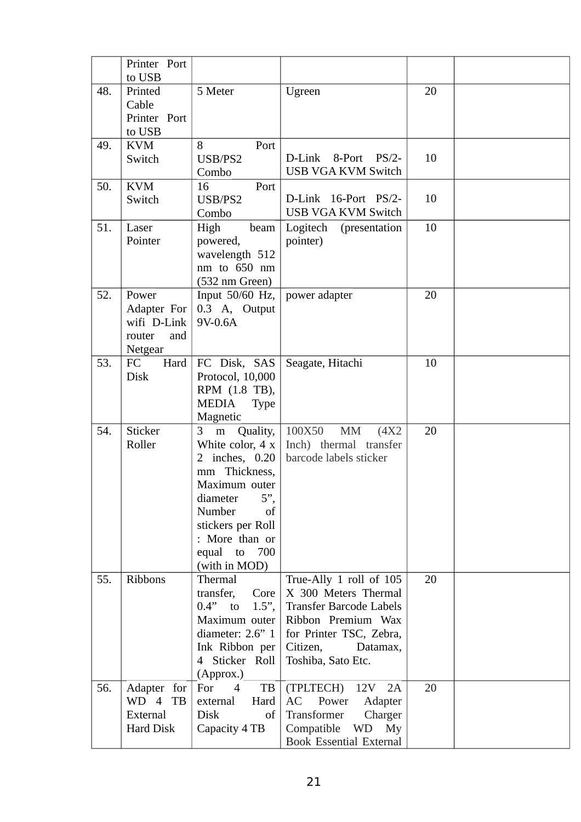|     | Printer Port<br>to USB                                          |                                                                                                                                                                                                                     |                                                                                                                                                                                  |    |  |
|-----|-----------------------------------------------------------------|---------------------------------------------------------------------------------------------------------------------------------------------------------------------------------------------------------------------|----------------------------------------------------------------------------------------------------------------------------------------------------------------------------------|----|--|
| 48. | Printed<br>Cable<br>Printer Port<br>to USB                      | 5 Meter                                                                                                                                                                                                             | Ugreen                                                                                                                                                                           | 20 |  |
| 49. | <b>KVM</b><br>Switch                                            | 8<br>Port<br>USB/PS2<br>Combo                                                                                                                                                                                       | D-Link 8-Port PS/2-<br><b>USB VGA KVM Switch</b>                                                                                                                                 | 10 |  |
| 50. | <b>KVM</b><br>Switch                                            | 16<br>Port<br>USB/PS2<br>Combo                                                                                                                                                                                      | D-Link 16-Port PS/2-<br><b>USB VGA KVM Switch</b>                                                                                                                                | 10 |  |
| 51. | Laser<br>Pointer                                                | High<br>beam<br>powered,<br>wavelength 512<br>nm to 650 nm<br>(532 nm Green)                                                                                                                                        | Logitech (presentation<br>pointer)                                                                                                                                               | 10 |  |
| 52. | Power<br>Adapter For<br>wifi D-Link<br>and<br>router<br>Netgear | Input 50/60 Hz,<br>0.3 A, Output<br>9V-0.6A                                                                                                                                                                         | power adapter                                                                                                                                                                    | 20 |  |
| 53. | FC<br>Hard<br>Disk                                              | FC Disk, SAS<br>Protocol, 10,000<br>RPM (1.8 TB),<br><b>MEDIA</b><br><b>Type</b><br>Magnetic                                                                                                                        | Seagate, Hitachi                                                                                                                                                                 | 10 |  |
| 54. | <b>Sticker</b><br>Roller                                        | Quality,<br>3<br>${\bf m}$<br>White color, 4 x<br>2 inches, 0.20<br>mm Thickness,<br>Maximum outer<br>$5$ ",<br>diameter<br>Number<br>of<br>stickers per Roll<br>: More than or<br>equal to<br>700<br>(with in MOD) | 100X50<br><b>MM</b><br>(4X2)<br>Inch) thermal transfer<br>barcode labels sticker                                                                                                 | 20 |  |
| 55. | Ribbons                                                         | Thermal<br>transfer,<br>Core<br>$0.4"$ to<br>$1.5$ ",<br>Maximum outer<br>diameter: 2.6" 1<br>Ink Ribbon per<br>4 Sticker Roll<br>(Approx.)                                                                         | True-Ally 1 roll of 105<br>X 300 Meters Thermal<br><b>Transfer Barcode Labels</b><br>Ribbon Premium Wax<br>for Printer TSC, Zebra,<br>Citizen,<br>Datamax,<br>Toshiba, Sato Etc. | 20 |  |
| 56. | Adapter for<br>WD 4 TB<br>External<br><b>Hard Disk</b>          | For<br>TB<br>$\overline{4}$<br>external<br>Hard<br>Disk<br>of<br>Capacity 4 TB                                                                                                                                      | (TPLTECH)<br>12V<br>2A<br>AC<br>Power<br>Adapter<br>Transformer<br>Charger<br>Compatible WD<br>My<br><b>Book Essential External</b>                                              | 20 |  |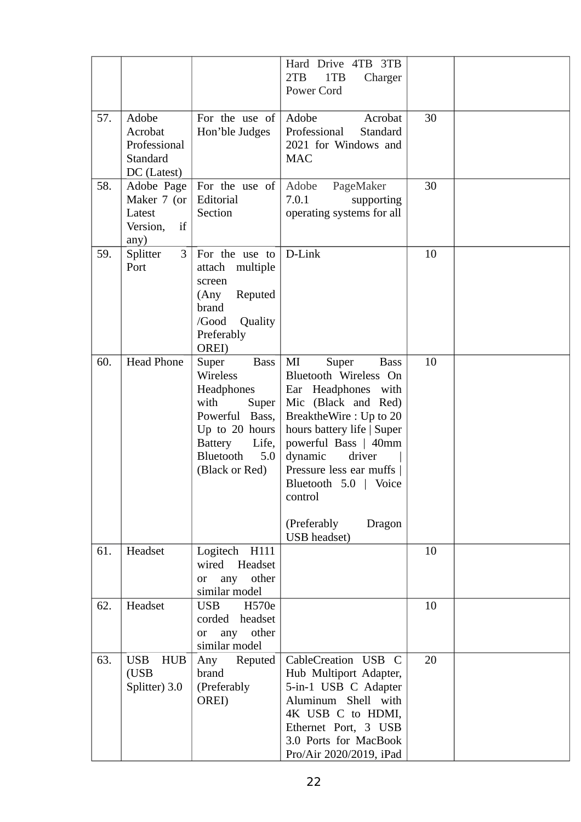|     |                                                               |                                                                                                                                                                             | Hard Drive 4TB 3TB<br>2TB<br>1TB<br>Charger<br>Power Cord                                                                                                                                                                                                                                                               |    |  |
|-----|---------------------------------------------------------------|-----------------------------------------------------------------------------------------------------------------------------------------------------------------------------|-------------------------------------------------------------------------------------------------------------------------------------------------------------------------------------------------------------------------------------------------------------------------------------------------------------------------|----|--|
| 57. | Adobe<br>Acrobat<br>Professional<br>Standard<br>DC (Latest)   | For the use of<br>Hon'ble Judges                                                                                                                                            | Adobe<br>Acrobat<br>Professional<br>Standard<br>2021 for Windows and<br><b>MAC</b>                                                                                                                                                                                                                                      | 30 |  |
| 58. | Adobe Page<br>Maker 7 (or<br>Latest<br>if<br>Version,<br>any) | For the use of<br>Editorial<br>Section                                                                                                                                      | Adobe<br>PageMaker<br>7.0.1<br>supporting<br>operating systems for all                                                                                                                                                                                                                                                  | 30 |  |
| 59. | Splitter<br>3<br>Port                                         | For the use to<br>attach<br>multiple<br>screen<br>Reputed<br>(Any<br>brand<br>/Good<br>Quality<br>Preferably<br>OREI)                                                       | D-Link                                                                                                                                                                                                                                                                                                                  | 10 |  |
| 60. | <b>Head Phone</b>                                             | Super<br><b>Bass</b><br><b>Wireless</b><br>Headphones<br>with<br>Super<br>Powerful Bass,<br>Up to 20 hours<br><b>Battery</b><br>Life,<br>5.0<br>Bluetooth<br>(Black or Red) | MI<br><b>Bass</b><br>Super<br>Bluetooth Wireless On<br>Ear Headphones with<br>Mic (Black and Red)<br>BreaktheWire: Up to 20<br>hours battery life   Super<br>powerful Bass   40mm<br>driver<br>dynamic<br>Pressure less ear muffs  <br>Bluetooth 5.0   Voice<br>control<br>(Preferably<br>Dragon<br><b>USB</b> headset) | 10 |  |
| 61. | Headset                                                       | Logitech<br>H111<br>wired<br>Headset<br>other<br>any<br>or<br>similar model                                                                                                 |                                                                                                                                                                                                                                                                                                                         | 10 |  |
| 62. | Headset                                                       | <b>USB</b><br>H <sub>570e</sub><br>corded<br>headset<br>other<br>any<br>or<br>similar model                                                                                 |                                                                                                                                                                                                                                                                                                                         | 10 |  |
| 63. | <b>USB</b><br><b>HUB</b><br>(USB<br>Splitter) 3.0             | Reputed<br>Any<br>brand<br>(Preferably<br>OREI)                                                                                                                             | CableCreation USB C<br>Hub Multiport Adapter,<br>5-in-1 USB C Adapter<br>Aluminum Shell with<br>4K USB C to HDMI,<br>Ethernet Port, 3 USB<br>3.0 Ports for MacBook<br>Pro/Air 2020/2019, iPad                                                                                                                           | 20 |  |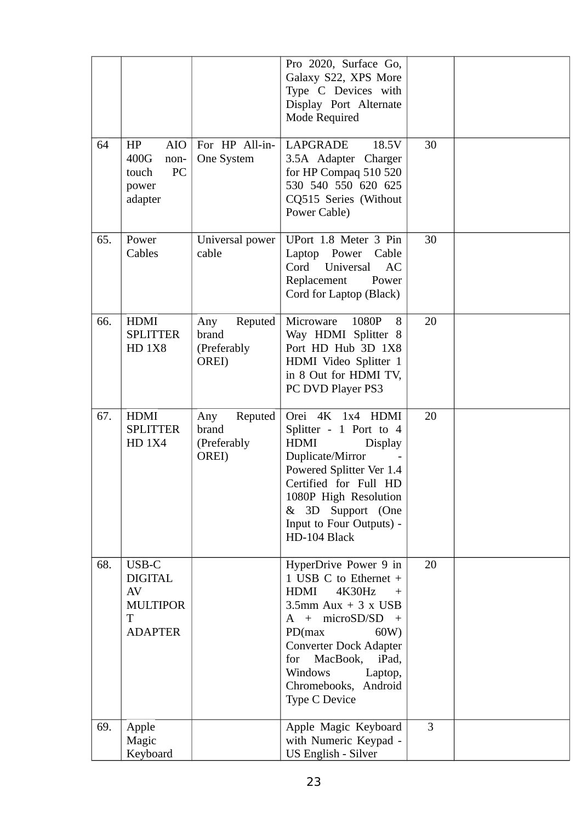|     |                                                                         |                                                 | Pro 2020, Surface Go,<br>Galaxy S22, XPS More<br>Type C Devices with<br>Display Port Alternate<br>Mode Required                                                                                                                                                                            |    |  |
|-----|-------------------------------------------------------------------------|-------------------------------------------------|--------------------------------------------------------------------------------------------------------------------------------------------------------------------------------------------------------------------------------------------------------------------------------------------|----|--|
| 64  | HP<br><b>AIO</b><br>400G<br>non-<br>PC<br>touch<br>power<br>adapter     | For HP All-in-<br>One System                    | <b>LAPGRADE</b><br>18.5V<br>3.5A Adapter Charger<br>for HP Compaq 510 520<br>530 540 550 620 625<br>CQ515 Series (Without<br>Power Cable)                                                                                                                                                  | 30 |  |
| 65. | Power<br>Cables                                                         | Universal power<br>cable                        | UPort 1.8 Meter 3 Pin<br>Power<br>Cable<br>Laptop<br>Cord<br>Universal<br>AC<br>Replacement<br>Power<br>Cord for Laptop (Black)                                                                                                                                                            | 30 |  |
| 66. | <b>HDMI</b><br><b>SPLITTER</b><br><b>HD 1X8</b>                         | Reputed<br>Any<br>brand<br>(Preferably<br>OREI) | Microware<br>1080P<br>8<br>Way HDMI Splitter 8<br>Port HD Hub 3D 1X8<br>HDMI Video Splitter 1<br>in 8 Out for HDMI TV,<br>PC DVD Player PS3                                                                                                                                                | 20 |  |
| 67. | <b>HDMI</b><br><b>SPLITTER</b><br><b>HD 1X4</b>                         | Reputed<br>Any<br>brand<br>(Preferably<br>OREI) | Orei<br>4K 1x4<br>HDMI<br>Splitter - 1 Port to 4<br><b>HDMI</b><br><b>Display</b><br>Duplicate/Mirror<br>Powered Splitter Ver 1.4<br>Certified for Full HD<br>1080P High Resolution<br>& 3D Support (One<br>Input to Four Outputs) -<br>HD-104 Black                                       | 20 |  |
| 68. | USB-C<br><b>DIGITAL</b><br>AV<br><b>MULTIPOR</b><br>T<br><b>ADAPTER</b> |                                                 | HyperDrive Power 9 in<br>1 USB C to Ethernet +<br><b>HDMI</b><br>4K30Hz<br>$^{+}$<br>$3.5$ mm Aux + 3 x USB<br>A + microSD/SD<br>$+$<br>PD(max)<br>60W)<br><b>Converter Dock Adapter</b><br>for<br>MacBook,<br>iPad,<br>Windows<br>Laptop,<br>Chromebooks, Android<br><b>Type C Device</b> | 20 |  |
| 69. | Apple<br>Magic<br>Keyboard                                              |                                                 | Apple Magic Keyboard<br>with Numeric Keypad -<br><b>US English - Silver</b>                                                                                                                                                                                                                | 3  |  |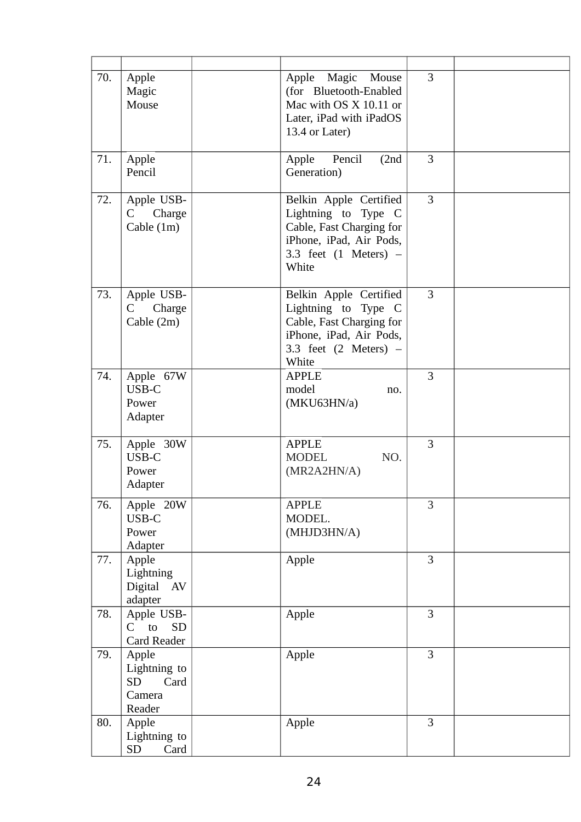| 70. | Apple<br>Magic<br>Mouse                                        | Apple<br>Magic Mouse<br>(for Bluetooth-Enabled<br>Mac with OS X 10.11 or<br>Later, iPad with iPadOS<br>13.4 or Later)                                  | $\overline{3}$ |  |
|-----|----------------------------------------------------------------|--------------------------------------------------------------------------------------------------------------------------------------------------------|----------------|--|
| 71. | Apple<br>Pencil                                                | (2nd)<br>Apple<br>Pencil<br>Generation)                                                                                                                | 3              |  |
| 72. | Apple USB-<br>Charge<br>C.<br>Cable $(1m)$                     | Belkin Apple Certified<br>Lightning to Type<br>$\mathsf{C}$<br>Cable, Fast Charging for<br>iPhone, iPad, Air Pods,<br>3.3 feet $(1$ Meters) -<br>White | $\overline{3}$ |  |
| 73. | Apple USB-<br>Charge<br>$\mathsf{C}$<br>Cable (2m)             | Belkin Apple Certified<br>Lightning to Type<br>$\mathsf{C}$<br>Cable, Fast Charging for<br>iPhone, iPad, Air Pods,<br>3.3 feet $(2$ Meters) -<br>White | $\overline{3}$ |  |
| 74. | Apple 67W<br>USB-C<br>Power<br>Adapter                         | <b>APPLE</b><br>model<br>no.<br>(MKU63HN/a)                                                                                                            | $\overline{3}$ |  |
| 75. | Apple 30W<br>USB-C<br>Power<br>Adapter                         | <b>APPLE</b><br><b>MODEL</b><br>NO.<br>(MR2A2HN/A)                                                                                                     | 3              |  |
| 76. | Apple 20W<br>USB-C<br>Power<br>Adapter                         | <b>APPLE</b><br>MODEL.<br>(MHJD3HN/A)                                                                                                                  | 3              |  |
| 77. | Apple<br>Lightning<br>Digital<br>AV<br>adapter                 | Apple                                                                                                                                                  | 3              |  |
| 78. | Apple USB-<br>$C$ to<br><b>SD</b><br><b>Card Reader</b>        | Apple                                                                                                                                                  | 3              |  |
| 79. | Apple<br>Lightning to<br>Card<br><b>SD</b><br>Camera<br>Reader | Apple                                                                                                                                                  | 3              |  |
| 80. | Apple<br>Lightning to<br><b>SD</b><br>Card                     | Apple                                                                                                                                                  | 3              |  |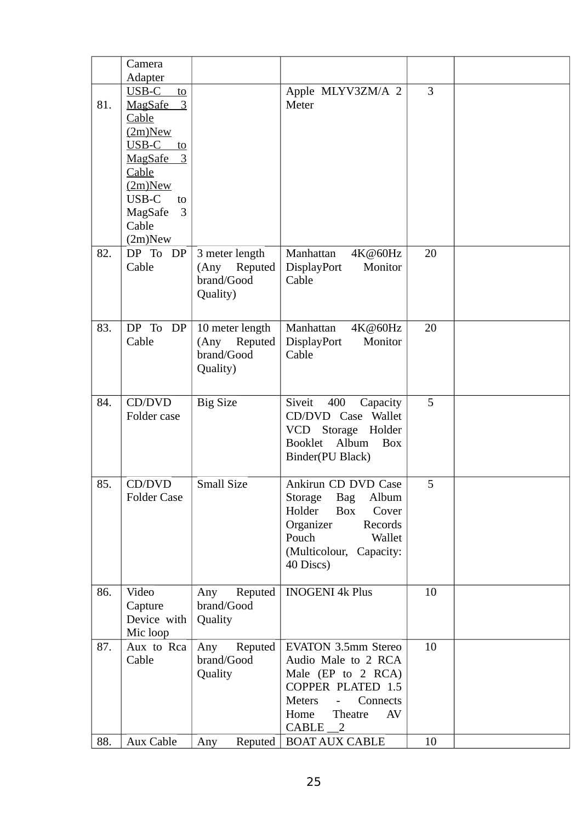|     | Camera<br>Adapter                                                                                                                                                                        |                                                              |                                                                                                                                                                                                 |    |  |
|-----|------------------------------------------------------------------------------------------------------------------------------------------------------------------------------------------|--------------------------------------------------------------|-------------------------------------------------------------------------------------------------------------------------------------------------------------------------------------------------|----|--|
| 81. | $USB-C$<br>to<br>MagSafe 3<br>Cable<br>$(2m)$ New<br>USB-C<br>to<br><b>MagSafe</b><br>$\overline{3}$<br><b>Cable</b><br>$(2m)$ New<br>USB-C<br>to<br>3<br>MagSafe<br>Cable<br>$(2m)$ New |                                                              | Apple MLYV3ZM/A 2<br>Meter                                                                                                                                                                      | 3  |  |
| 82. | DP To DP<br>Cable                                                                                                                                                                        | 3 meter length<br>Reputed<br>(Any<br>brand/Good<br>Quality)  | Manhattan<br>4K@60Hz<br>DisplayPort<br>Monitor<br>Cable                                                                                                                                         | 20 |  |
| 83. | DP To DP<br>Cable                                                                                                                                                                        | 10 meter length<br>Reputed<br>(Any<br>brand/Good<br>Quality) | Manhattan<br>4K@60Hz<br>Monitor<br><b>DisplayPort</b><br>Cable                                                                                                                                  | 20 |  |
| 84. | CD/DVD<br>Folder case                                                                                                                                                                    | <b>Big Size</b>                                              | Siveit<br>400<br>Capacity<br>CD/DVD Case Wallet<br>Storage<br>VCD<br>Holder<br>Booklet Album<br><b>Box</b><br>Binder(PU Black)                                                                  | 5  |  |
| 85. | CD/DVD<br><b>Folder Case</b>                                                                                                                                                             | <b>Small Size</b>                                            | Ankirun CD DVD Case<br>Album<br><b>Bag</b><br>Storage<br>Holder<br>Box<br>Cover<br>Records<br>Organizer<br>Pouch<br>Wallet<br>(Multicolour, Capacity:<br>40 Discs)                              | 5  |  |
| 86. | Video<br>Capture<br>Device with<br>Mic loop                                                                                                                                              | Reputed<br>Any<br>brand/Good<br>Quality                      | <b>INOGENI 4k Plus</b>                                                                                                                                                                          | 10 |  |
| 87. | Aux to Rca<br>Cable                                                                                                                                                                      | Any<br>Reputed<br>brand/Good<br>Quality                      | <b>EVATON 3.5mm Stereo</b><br>Audio Male to 2 RCA<br>Male (EP to 2 RCA)<br>COPPER PLATED 1.5<br><b>Meters</b><br>Connects<br>$\sim$ $^{-1}$<br>Theatre<br>AV<br>Home<br>CABLE<br>$\overline{2}$ | 10 |  |
| 88. | Aux Cable                                                                                                                                                                                | Any                                                          | Reputed   BOAT AUX CABLE                                                                                                                                                                        | 10 |  |